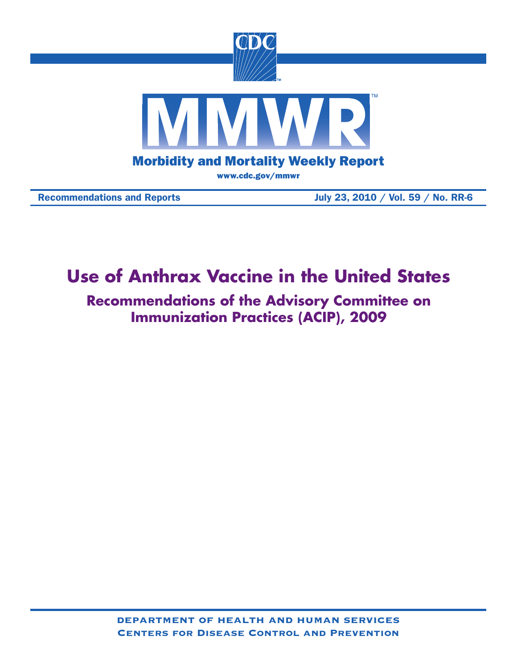

# Recommendations and Reports July 23, 2010 / Vol. 59 / No. RR-6

# **Use of Anthrax Vaccine in the United States**

**Recommendations of the Advisory Committee on Immunization Practices (ACIP), 2009**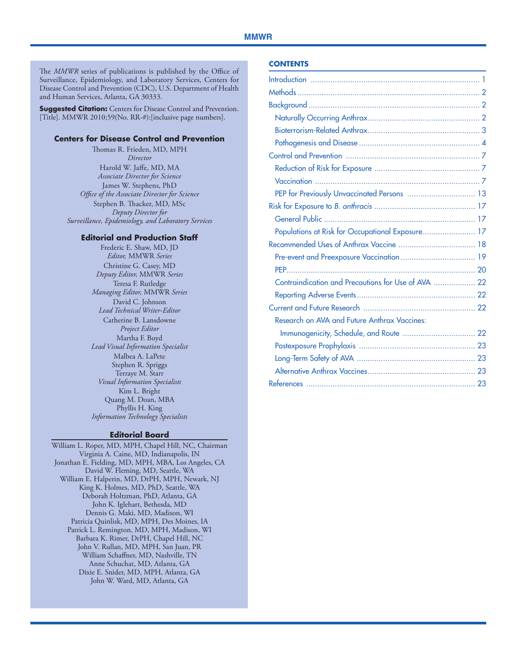The *MMWR* series of publications is published by the Office of Surveillance, Epidemiology, and Laboratory Services, Centers for Disease Control and Prevention (CDC), U.S. Department of Health and Human Services, Atlanta, GA 30333.

**Suggested Citation:** Centers for Disease Control and Prevention. [Title]. MMWR 2010;59(No. RR-#):[inclusive page numbers].

#### **Centers for Disease Control and Prevention**

Thomas R. Frieden, MD, MPH *Director* Harold W. Jaffe, MD, MA *Associate Director for Science* James W. Stephens, PhD *Office of the Associate Director for Science* Stephen B. Thacker, MD, MSc *Deputy Director for Surveillance, Epidemiology, and Laboratory Services*

#### **Editorial and Production Staff**

Frederic E. Shaw, MD, JD *Editor,* MMWR *Series* Christine G. Casey, MD *Deputy Editor,* MMWR *Series* Teresa F. Rutledge *Managing Editor,* MMWR *Series* David C. Johnson *Lead Technical Writer-Editor* Catherine B. Lansdowne *Project Editor* Martha F. Boyd *Lead Visual Information Specialist* Malbea A. LaPete Stephen R. Spriggs Terraye M. Starr *Visual Information Specialists* Kim L. Bright Quang M. Doan, MBA Phyllis H. King *Information Technology Specialists*

#### **Editorial Board**

William L. Roper, MD, MPH, Chapel Hill, NC, Chairman Virginia A. Caine, MD, Indianapolis, IN Jonathan E. Fielding, MD, MPH, MBA, Los Angeles, CA David W. Fleming, MD, Seattle, WA William E. Halperin, MD, DrPH, MPH, Newark, NJ King K. Holmes, MD, PhD, Seattle, WA Deborah Holtzman, PhD, Atlanta, GA John K. Iglehart, Bethesda, MD Dennis G. Maki, MD, Madison, WI Patricia Quinlisk, MD, MPH, Des Moines, IA Patrick L. Remington, MD, MPH, Madison, WI Barbara K. Rimer, DrPH, Chapel Hill, NC John V. Rullan, MD, MPH, San Juan, PR William Schaffner, MD, Nashville, TN Anne Schuchat, MD, Atlanta, GA Dixie E. Snider, MD, MPH, Atlanta, GA John W. Ward, MD, Atlanta, GA

#### **Contents**

| PEP for Previously Unvaccinated Persons  13         |  |
|-----------------------------------------------------|--|
|                                                     |  |
|                                                     |  |
| Populations at Risk for Occupational Exposure 17    |  |
|                                                     |  |
|                                                     |  |
|                                                     |  |
| Contraindication and Precautions for Use of AVA  22 |  |
|                                                     |  |
|                                                     |  |
| Research on AVA and Future Anthrax Vaccines:        |  |
|                                                     |  |
|                                                     |  |
|                                                     |  |
|                                                     |  |
|                                                     |  |
|                                                     |  |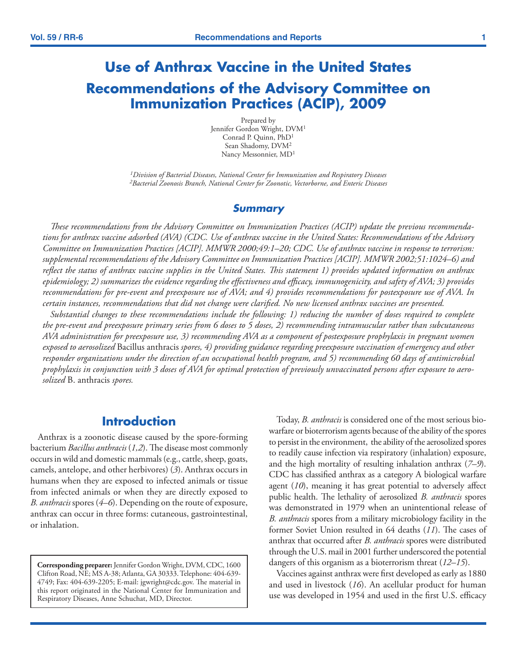# <span id="page-2-0"></span>**Use of Anthrax Vaccine in the United States Recommendations of the Advisory Committee on Immunization Practices (ACIP), 2009**

Prepared by Jennifer Gordon Wright, DVM1 Conrad P. Quinn, PhD<sup>1</sup> Sean Shadomy, DVM2 Nancy Messonnier, MD1

*1Division of Bacterial Diseases, National Center for Immunization and Respiratory Diseases 2Bacterial Zoonosis Branch, National Center for Zoonotic, Vectorborne, and Enteric Diseases*

### *Summary*

*These recommendations from the Advisory Committee on Immunization Practices (ACIP) update the previous recommendations for anthrax vaccine adsorbed (AVA) (CDC. Use of anthrax vaccine in the United States: Recommendations of the Advisory Committee on Immunization Practices [ACIP]. MMWR 2000;49:1–20; CDC. Use of anthrax vaccine in response to terrorism: supplemental recommendations of the Advisory Committee on Immunization Practices [ACIP]. MMWR 2002;51:1024–6) and reflect the status of anthrax vaccine supplies in the United States. This statement 1) provides updated information on anthrax epidemiology; 2) summarizes the evidence regarding the effectiveness and efficacy, immunogenicity, and safety of AVA; 3) provides recommendations for pre-event and preexposure use of AVA; and 4) provides recommendations for postexposure use of AVA. In certain instances, recommendations that did not change were clarified. No new licensed anthrax vaccines are presented.* 

*Substantial changes to these recommendations include the following: 1) reducing the number of doses required to complete the pre-event and preexposure primary series from 6 doses to 5 doses, 2) recommending intramuscular rather than subcutaneous AVA administration for preexposure use, 3) recommending AVA as a component of postexposure prophylaxis in pregnant women exposed to aerosolized* Bacillus anthracis *spores, 4) providing guidance regarding preexposure vaccination of emergency and other responder organizations under the direction of an occupational health program, and 5) recommending 60 days of antimicrobial prophylaxis in conjunction with 3 doses of AVA for optimal protection of previously unvaccinated persons after exposure to aerosolized* B. anthracis *spores.* 

# **Introduction**

Anthrax is a zoonotic disease caused by the spore-forming bacterium *Bacillus anthracis* (*1,2*). The disease most commonly occurs in wild and domestic mammals (e.g., cattle, sheep, goats, camels, antelope, and other herbivores) (*3*). Anthrax occurs in humans when they are exposed to infected animals or tissue from infected animals or when they are directly exposed to *B. anthracis* spores (*4–6*). Depending on the route of exposure, anthrax can occur in three forms: cutaneous, gastrointestinal, or inhalation.

**Corresponding preparer:** Jennifer Gordon Wright, DVM, CDC, 1600 Clifton Road, NE; MS A-38; Atlanta, GA 30333. Telephone: 404-639- 4749; Fax: 404-639-2205; E-mail: jgwright@cdc.gov. The material in this report originated in the National Center for Immunization and Respiratory Diseases, Anne Schuchat, MD, Director.

Today, *B. anthracis* is considered one of the most serious biowarfare or bioterrorism agents because of the ability of the spores to persist in the environment, the ability of the aerosolized spores to readily cause infection via respiratory (inhalation) exposure, and the high mortality of resulting inhalation anthrax (*7–9*). CDC has classified anthrax as a category A biological warfare agent (*10*), meaning it has great potential to adversely affect public health. The lethality of aerosolized *B. anthracis* spores was demonstrated in 1979 when an unintentional release of *B. anthracis* spores from a military microbiology facility in the former Soviet Union resulted in 64 deaths (*11*). The cases of anthrax that occurred after *B. anthracis* spores were distributed through the U.S. mail in 2001 further underscored the potential dangers of this organism as a bioterrorism threat (*12–15*).

Vaccines against anthrax were first developed as early as 1880 and used in livestock (*16*). An acellular product for human use was developed in 1954 and used in the first U.S. efficacy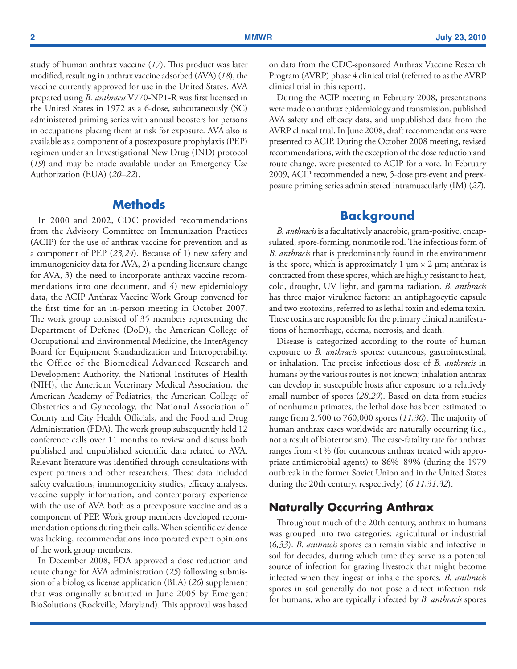<span id="page-3-0"></span>study of human anthrax vaccine (*17*). This product was later modified, resulting in anthrax vaccine adsorbed (AVA) (*18*), the vaccine currently approved for use in the United States. AVA prepared using *B. anthracis* V770-NP1-R was first licensed in the United States in 1972 as a 6-dose, subcutaneously (SC) administered priming series with annual boosters for persons in occupations placing them at risk for exposure. AVA also is available as a component of a postexposure prophylaxis (PEP) regimen under an Investigational New Drug (IND) protocol (*19*) and may be made available under an Emergency Use Authorization (EUA) (*20–22*).

# **Methods**

In 2000 and 2002, CDC provided recommendations from the Advisory Committee on Immunization Practices (ACIP) for the use of anthrax vaccine for prevention and as a component of PEP (*23,24*). Because of 1) new safety and immunogenicity data for AVA, 2) a pending licensure change for AVA, 3) the need to incorporate anthrax vaccine recommendations into one document, and 4) new epidemiology data, the ACIP Anthrax Vaccine Work Group convened for the first time for an in-person meeting in October 2007. The work group consisted of 35 members representing the Department of Defense (DoD), the American College of Occupational and Environmental Medicine, the InterAgency Board for Equipment Standardization and Interoperability, the Office of the Biomedical Advanced Research and Development Authority, the National Institutes of Health (NIH), the American Veterinary Medical Association, the American Academy of Pediatrics, the American College of Obstetrics and Gynecology, the National Association of County and City Health Officials, and the Food and Drug Administration (FDA). The work group subsequently held 12 conference calls over 11 months to review and discuss both published and unpublished scientific data related to AVA. Relevant literature was identified through consultations with expert partners and other researchers. These data included safety evaluations, immunogenicity studies, efficacy analyses, vaccine supply information, and contemporary experience with the use of AVA both as a preexposure vaccine and as a component of PEP. Work group members developed recommendation options during their calls. When scientific evidence was lacking, recommendations incorporated expert opinions of the work group members.

In December 2008, FDA approved a dose reduction and route change for AVA administration (*25*) following submission of a biologics license application (BLA) (*26*) supplement that was originally submitted in June 2005 by Emergent BioSolutions (Rockville, Maryland). This approval was based on data from the CDC-sponsored Anthrax Vaccine Research Program (AVRP) phase 4 clinical trial (referred to as the AVRP clinical trial in this report).

During the ACIP meeting in February 2008, presentations were made on anthrax epidemiology and transmission, published AVA safety and efficacy data, and unpublished data from the AVRP clinical trial. In June 2008, draft recommendations were presented to ACIP. During the October 2008 meeting, revised recommendations, with the exception of the dose reduction and route change, were presented to ACIP for a vote. In February 2009, ACIP recommended a new, 5-dose pre-event and preexposure priming series administered intramuscularly (IM) (*27*).

# **Background**

*B. anthracis* is a facultatively anaerobic, gram-positive, encapsulated, spore-forming, nonmotile rod. The infectious form of *B. anthracis* that is predominantly found in the environment is the spore, which is approximately 1  $\mu$ m  $\times$  2  $\mu$ m; anthrax is contracted from these spores, which are highly resistant to heat, cold, drought, UV light, and gamma radiation. *B. anthracis* has three major virulence factors: an antiphagocytic capsule and two exotoxins, referred to as lethal toxin and edema toxin. These toxins are responsible for the primary clinical manifestations of hemorrhage, edema, necrosis, and death.

Disease is categorized according to the route of human exposure to *B. anthracis* spores: cutaneous, gastrointestinal, or inhalation. The precise infectious dose of *B. anthracis* in humans by the various routes is not known; inhalation anthrax can develop in susceptible hosts after exposure to a relatively small number of spores (*28,29*). Based on data from studies of nonhuman primates, the lethal dose has been estimated to range from 2,500 to 760,000 spores (*11,30*). The majority of human anthrax cases worldwide are naturally occurring (i.e., not a result of bioterrorism). The case-fatality rate for anthrax ranges from <1% (for cutaneous anthrax treated with appropriate antimicrobial agents) to 86%–89% (during the 1979 outbreak in the former Soviet Union and in the United States during the 20th century, respectively) (*6,11,31,32*).

# **Naturally Occurring Anthrax**

Throughout much of the 20th century, anthrax in humans was grouped into two categories: agricultural or industrial (*6,33*). *B. anthracis* spores can remain viable and infective in soil for decades, during which time they serve as a potential source of infection for grazing livestock that might become infected when they ingest or inhale the spores. *B. anthracis* spores in soil generally do not pose a direct infection risk for humans, who are typically infected by *B. anthracis* spores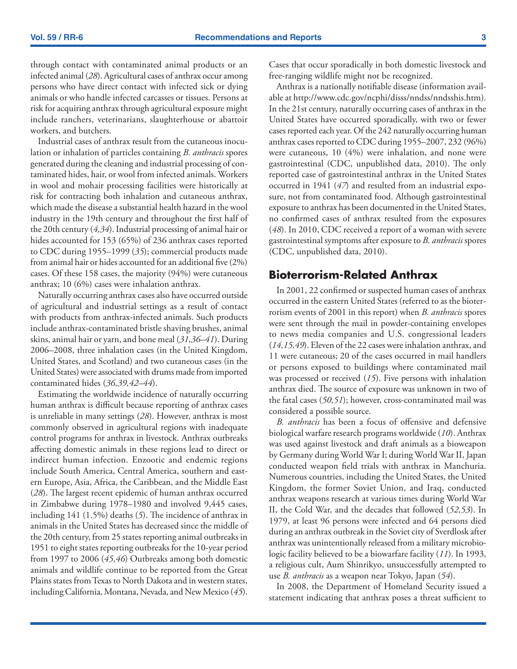<span id="page-4-0"></span>through contact with contaminated animal products or an infected animal (*28*). Agricultural cases of anthrax occur among persons who have direct contact with infected sick or dying animals or who handle infected carcasses or tissues. Persons at risk for acquiring anthrax through agricultural exposure might include ranchers, veterinarians, slaughterhouse or abattoir workers, and butchers.

Industrial cases of anthrax result from the cutaneous inoculation or inhalation of particles containing *B. anthracis* spores generated during the cleaning and industrial processing of contaminated hides, hair, or wool from infected animals. Workers in wool and mohair processing facilities were historically at risk for contracting both inhalation and cutaneous anthrax, which made the disease a substantial health hazard in the wool industry in the 19th century and throughout the first half of the 20th century (*4,34*). Industrial processing of animal hair or hides accounted for 153 (65%) of 236 anthrax cases reported to CDC during 1955–1999 (*35*); commercial products made from animal hair or hides accounted for an additional five (2%) cases. Of these 158 cases, the majority (94%) were cutaneous anthrax; 10 (6%) cases were inhalation anthrax.

Naturally occurring anthrax cases also have occurred outside of agricultural and industrial settings as a result of contact with products from anthrax-infected animals. Such products include anthrax-contaminated bristle shaving brushes, animal skins, animal hair or yarn, and bone meal (*31,36–41*). During 2006–2008, three inhalation cases (in the United Kingdom, United States, and Scotland) and two cutaneous cases (in the United States) were associated with drums made from imported contaminated hides (*36,39,42–44*).

Estimating the worldwide incidence of naturally occurring human anthrax is difficult because reporting of anthrax cases is unreliable in many settings (*28*). However, anthrax is most commonly observed in agricultural regions with inadequate control programs for anthrax in livestock. Anthrax outbreaks affecting domestic animals in these regions lead to direct or indirect human infection. Enzootic and endemic regions include South America, Central America, southern and eastern Europe, Asia, Africa, the Caribbean, and the Middle East (*28*). The largest recent epidemic of human anthrax occurred in Zimbabwe during 1978–1980 and involved 9,445 cases, including 141 (1.5%) deaths (*5*). The incidence of anthrax in animals in the United States has decreased since the middle of the 20th century, from 25 states reporting animal outbreaks in 1951 to eight states reporting outbreaks for the 10-year period from 1997 to 2006 (*45,46*) Outbreaks among both domestic animals and wildlife continue to be reported from the Great Plains states from Texas to North Dakota and in western states, including California, Montana, Nevada, and New Mexico (*45*). Cases that occur sporadically in both domestic livestock and free-ranging wildlife might not be recognized.

Anthrax is a nationally notifiable disease (information available at [http://www.cdc.gov/ncphi/disss/nndss/nndsshis.htm\)](http://www.cdc.gov/ncphi/disss/nndss/nndsshis.htm). In the 21st century, naturally occurring cases of anthrax in the United States have occurred sporadically, with two or fewer cases reported each year. Of the 242 naturally occurring human anthrax cases reported to CDC during 1955–2007, 232 (96%) were cutaneous, 10 (4%) were inhalation, and none were gastrointestinal (CDC, unpublished data, 2010). The only reported case of gastrointestinal anthrax in the United States occurred in 1941 (*47*) and resulted from an industrial exposure, not from contaminated food. Although gastrointestinal exposure to anthrax has been documented in the United States, no confirmed cases of anthrax resulted from the exposures (*48*). In 2010, CDC received a report of a woman with severe gastrointestinal symptoms after exposure to *B. anthracis* spores (CDC, unpublished data, 2010).

# **Bioterrorism-Related Anthrax**

In 2001, 22 confirmed or suspected human cases of anthrax occurred in the eastern United States (referred to as the bioterrorism events of 2001 in this report) when *B. anthracis* spores were sent through the mail in powder-containing envelopes to news media companies and U.S. congressional leaders (*14,15,49*). Eleven of the 22 cases were inhalation anthrax, and 11 were cutaneous; 20 of the cases occurred in mail handlers or persons exposed to buildings where contaminated mail was processed or received (*15*). Five persons with inhalation anthrax died. The source of exposure was unknown in two of the fatal cases (*50,51*); however, cross-contaminated mail was considered a possible source.

*B. anthracis* has been a focus of offensive and defensive biological warfare research programs worldwide (*10*). Anthrax was used against livestock and draft animals as a bioweapon by Germany during World War I; during World War II, Japan conducted weapon field trials with anthrax in Manchuria. Numerous countries, including the United States, the United Kingdom, the former Soviet Union, and Iraq, conducted anthrax weapons research at various times during World War II, the Cold War, and the decades that followed (*52,53*). In 1979, at least 96 persons were infected and 64 persons died during an anthrax outbreak in the Soviet city of Sverdlosk after anthrax was unintentionally released from a military microbiologic facility believed to be a biowarfare facility (*11*). In 1993, a religious cult, Aum Shinrikyo, unsuccessfully attempted to use *B. anthracis* as a weapon near Tokyo, Japan (*54*).

In 2008, the Department of Homeland Security issued a statement indicating that anthrax poses a threat sufficient to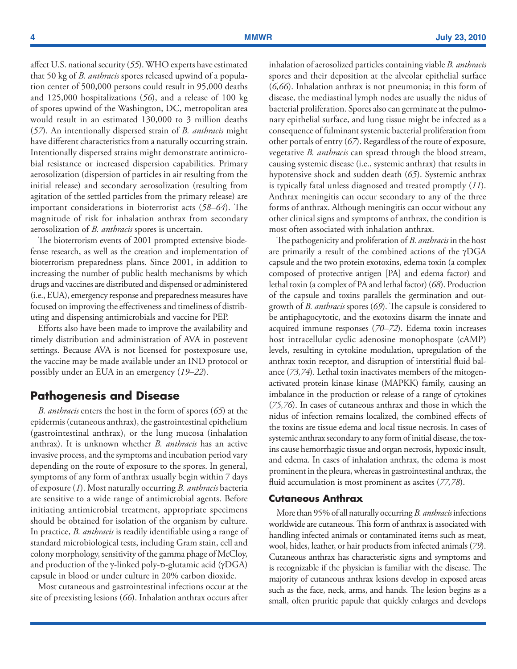<span id="page-5-0"></span>affect U.S. national security (*55*). WHO experts have estimated that 50 kg of *B. anthracis* spores released upwind of a population center of 500,000 persons could result in 95,000 deaths and 125,000 hospitalizations (*56*), and a release of 100 kg of spores upwind of the Washington, DC, metropolitan area would result in an estimated 130,000 to 3 million deaths (*57*). An intentionally dispersed strain of *B. anthracis* might have different characteristics from a naturally occurring strain. Intentionally dispersed strains might demonstrate antimicrobial resistance or increased dispersion capabilities. Primary aerosolization (dispersion of particles in air resulting from the initial release) and secondary aerosolization (resulting from agitation of the settled particles from the primary release) are important considerations in bioterrorist acts (*58–64*). The magnitude of risk for inhalation anthrax from secondary aerosolization of *B. anthracis* spores is uncertain.

The bioterrorism events of 2001 prompted extensive biodefense research, as well as the creation and implementation of bioterrorism preparedness plans. Since 2001, in addition to increasing the number of public health mechanisms by which drugs and vaccines are distributed and dispensed or administered (i.e., EUA), emergency response and preparedness measures have focused on improving the effectiveness and timeliness of distributing and dispensing antimicrobials and vaccine for PEP.

Efforts also have been made to improve the availability and timely distribution and administration of AVA in postevent settings. Because AVA is not licensed for postexposure use, the vaccine may be made available under an IND protocol or possibly under an EUA in an emergency (*19–22*).

### **Pathogenesis and Disease**

*B. anthracis* enters the host in the form of spores (*65*) at the epidermis (cutaneous anthrax), the gastrointestinal epithelium (gastrointestinal anthrax), or the lung mucosa (inhalation anthrax). It is unknown whether *B. anthracis* has an active invasive process, and the symptoms and incubation period vary depending on the route of exposure to the spores. In general, symptoms of any form of anthrax usually begin within 7 days of exposure (*1*). Most naturally occurring *B. anthracis* bacteria are sensitive to a wide range of antimicrobial agents. Before initiating antimicrobial treatment, appropriate specimens should be obtained for isolation of the organism by culture. In practice, *B. anthracis* is readily identifiable using a range of standard microbiological tests, including Gram stain, cell and colony morphology, sensitivity of the gamma phage of McCloy, and production of the  $\gamma$ -linked poly-D-glutamic acid ( $\gamma$ DGA) capsule in blood or under culture in 20% carbon dioxide.

Most cutaneous and gastrointestinal infections occur at the site of preexisting lesions (*66*). Inhalation anthrax occurs after inhalation of aerosolized particles containing viable *B. anthracis*  spores and their deposition at the alveolar epithelial surface (*6,66*). Inhalation anthrax is not pneumonia; in this form of disease, the mediastinal lymph nodes are usually the nidus of bacterial proliferation. Spores also can germinate at the pulmonary epithelial surface, and lung tissue might be infected as a consequence of fulminant systemic bacterial proliferation from other portals of entry (*67*). Regardless of the route of exposure, vegetative *B. anthracis* can spread through the blood stream, causing systemic disease (i.e., systemic anthrax) that results in hypotensive shock and sudden death (*65*). Systemic anthrax is typically fatal unless diagnosed and treated promptly (*11*). Anthrax meningitis can occur secondary to any of the three forms of anthrax. Although meningitis can occur without any other clinical signs and symptoms of anthrax, the condition is most often associated with inhalation anthrax.

The pathogenicity and proliferation of *B. anthracis* in the host are primarily a result of the combined actions of the γDGA capsule and the two protein exotoxins, edema toxin (a complex composed of protective antigen [PA] and edema factor) and lethal toxin (a complex of PA and lethal factor) (*68*). Production of the capsule and toxins parallels the germination and outgrowth of *B. anthracis* spores (*69*). The capsule is considered to be antiphagocytotic, and the exotoxins disarm the innate and acquired immune responses (*70–72*). Edema toxin increases host intracellular cyclic adenosine monophospate (cAMP) levels, resulting in cytokine modulation, upregulation of the anthrax toxin receptor, and disruption of interstitial fluid balance (*73,74*). Lethal toxin inactivates members of the mitogenactivated protein kinase kinase (MAPKK) family, causing an imbalance in the production or release of a range of cytokines (*75,76*). In cases of cutaneous anthrax and those in which the nidus of infection remains localized, the combined effects of the toxins are tissue edema and local tissue necrosis. In cases of systemic anthrax secondary to any form of initial disease, the toxins cause hemorrhagic tissue and organ necrosis, hypoxic insult, and edema. In cases of inhalation anthrax, the edema is most prominent in the pleura, whereas in gastrointestinal anthrax, the fluid accumulation is most prominent as ascites (*77,78*).

#### **Cutaneous Anthrax**

More than 95% of all naturally occurring *B. anthracis* infections worldwide are cutaneous. This form of anthrax is associated with handling infected animals or contaminated items such as meat, wool, hides, leather, or hair products from infected animals (*79*). Cutaneous anthrax has characteristic signs and symptoms and is recognizable if the physician is familiar with the disease. The majority of cutaneous anthrax lesions develop in exposed areas such as the face, neck, arms, and hands. The lesion begins as a small, often pruritic papule that quickly enlarges and develops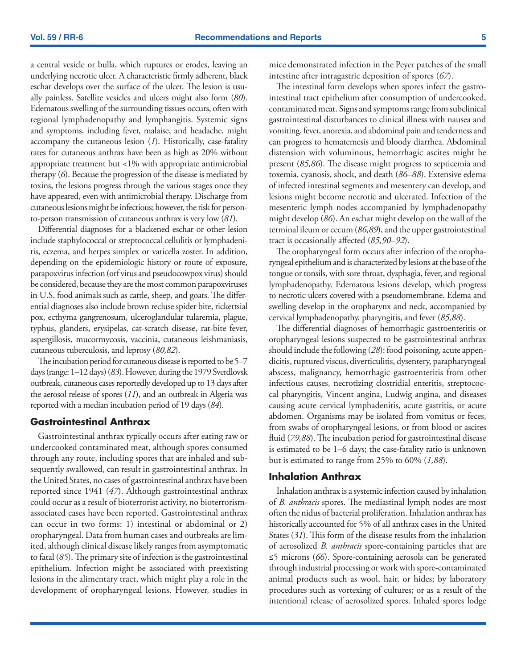a central vesicle or bulla, which ruptures or erodes, leaving an underlying necrotic ulcer. A characteristic firmly adherent, black eschar develops over the surface of the ulcer. The lesion is usually painless. Satellite vesicles and ulcers might also form (*80*). Edematous swelling of the surrounding tissues occurs, often with regional lymphadenopathy and lymphangitis. Systemic signs and symptoms, including fever, malaise, and headache, might accompany the cutaneous lesion (*1*). Historically, case-fatality rates for cutaneous anthrax have been as high as 20% without appropriate treatment but <1% with appropriate antimicrobial therapy (*6*). Because the progression of the disease is mediated by toxins, the lesions progress through the various stages once they have appeared, even with antimicrobial therapy. Discharge from cutaneous lesions might be infectious; however, the risk for personto-person transmission of cutaneous anthrax is very low (*81*).

Differential diagnoses for a blackened eschar or other lesion include staphylococcal or streptococcal cellulitis or lymphadenitis, eczema, and herpes simplex or varicella zoster. In addition, depending on the epidemiologic history or route of exposure, parapoxvirus infection (orf virus and pseudocowpox virus) should be considered, because they are the most common parapoxviruses in U.S. food animals such as cattle, sheep, and goats. The differential diagnoses also include brown recluse spider bite, rickettsial pox, ecthyma gangrenosum, ulceroglandular tularemia, plague, typhus, glanders, erysipelas, cat-scratch disease, rat-bite fever, aspergillosis, mucormycosis, vaccinia, cutaneous leishmaniasis, cutaneous tuberculosis, and leprosy (*80,82*).

The incubation period for cutaneous disease is reported to be 5–7 days (range: 1–12 days) (*83*). However, during the 1979 Sverdlovsk outbreak, cutaneous cases reportedly developed up to 13 days after the aerosol release of spores (*11*), and an outbreak in Algeria was reported with a median incubation period of 19 days (*84*).

#### **Gastrointestinal Anthrax**

Gastrointestinal anthrax typically occurs after eating raw or undercooked contaminated meat, although spores consumed through any route, including spores that are inhaled and subsequently swallowed, can result in gastrointestinal anthrax. In the United States, no cases of gastrointestinal anthrax have been reported since 1941 (*47*). Although gastrointestinal anthrax could occur as a result of bioterrorist activity, no bioterrorismassociated cases have been reported. Gastrointestinal anthrax can occur in two forms: 1) intestinal or abdominal or 2) oropharyngeal. Data from human cases and outbreaks are limited, although clinical disease likely ranges from asymptomatic to fatal (*85*). The primary site of infection is the gastrointestinal epithelium. Infection might be associated with preexisting lesions in the alimentary tract, which might play a role in the development of oropharyngeal lesions. However, studies in mice demonstrated infection in the Peyer patches of the small intestine after intragastric deposition of spores (*67*).

The intestinal form develops when spores infect the gastrointestinal tract epithelium after consumption of undercooked, contaminated meat. Signs and symptoms range from subclinical gastrointestinal disturbances to clinical illness with nausea and vomiting, fever, anorexia, and abdominal pain and tenderness and can progress to hematemesis and bloody diarrhea. Abdominal distension with voluminous, hemorrhagic ascites might be present (*85,86*). The disease might progress to septicemia and toxemia, cyanosis, shock, and death (*86–88*). Extensive edema of infected intestinal segments and mesentery can develop, and lesions might become necrotic and ulcerated. Infection of the mesenteric lymph nodes accompanied by lymphadenopathy might develop (*86*). An eschar might develop on the wall of the terminal ileum or cecum (*86,89*), and the upper gastrointestinal tract is occasionally affected (*85,90–92*).

The oropharyngeal form occurs after infection of the oropharyngeal epithelium and is characterized by lesions at the base of the tongue or tonsils, with sore throat, dysphagia, fever, and regional lymphadenopathy. Edematous lesions develop, which progress to necrotic ulcers covered with a pseudomembrane. Edema and swelling develop in the oropharynx and neck, accompanied by cervical lymphadenopathy, pharyngitis, and fever (*85,88*).

The differential diagnoses of hemorrhagic gastroenteritis or oropharyngeal lesions suspected to be gastrointestinal anthrax should include the following (*28*): food poisoning, acute appendicitis, ruptured viscus, diverticulitis, dysentery, parapharyngeal abscess, malignancy, hemorrhagic gastroenteritis from other infectious causes, necrotizing clostridial enteritis, streptococcal pharyngitis, Vincent angina, Ludwig angina, and diseases causing acute cervical lymphadenitis, acute gastritis, or acute abdomen. Organisms may be isolated from vomitus or feces, from swabs of oropharyngeal lesions, or from blood or ascites fluid (*79,88*). The incubation period for gastrointestinal disease is estimated to be 1–6 days; the case-fatality ratio is unknown but is estimated to range from 25% to 60% (*1,88*).

#### **Inhalation Anthrax**

Inhalation anthrax is a systemic infection caused by inhalation of *B. anthracis* spores. The mediastinal lymph nodes are most often the nidus of bacterial proliferation. Inhalation anthrax has historically accounted for 5% of all anthrax cases in the United States (*31*). This form of the disease results from the inhalation of aerosolized *B. anthracis* spore-containing particles that are ≤5 microns (*66*). Spore-containing aerosols can be generated through industrial processing or work with spore-contaminated animal products such as wool, hair, or hides; by laboratory procedures such as vortexing of cultures; or as a result of the intentional release of aerosolized spores. Inhaled spores lodge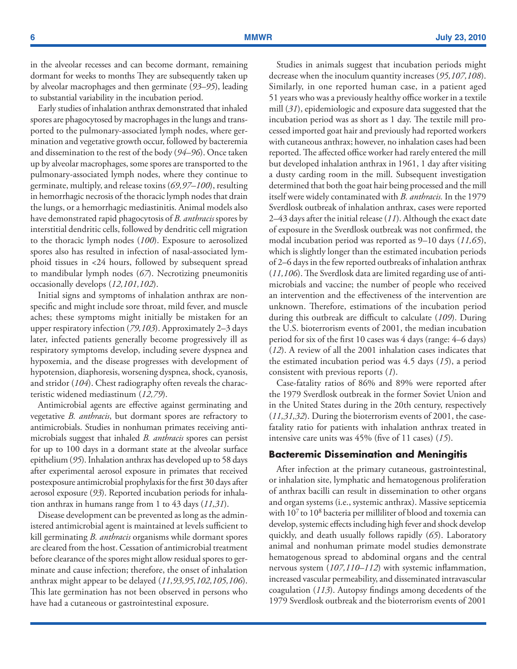in the alveolar recesses and can become dormant, remaining dormant for weeks to months They are subsequently taken up by alveolar macrophages and then germinate (*93–95*), leading to substantial variability in the incubation period.

Early studies of inhalation anthrax demonstrated that inhaled spores are phagocytosed by macrophages in the lungs and transported to the pulmonary-associated lymph nodes, where germination and vegetative growth occur, followed by bacteremia and dissemination to the rest of the body (*94–96*). Once taken up by alveolar macrophages, some spores are transported to the pulmonary-associated lymph nodes, where they continue to germinate, multiply, and release toxins (*69,97–100*), resulting in hemorrhagic necrosis of the thoracic lymph nodes that drain the lungs, or a hemorrhagic mediastinitis. Animal models also have demonstrated rapid phagocytosis of *B. anthracis* spores by interstitial dendritic cells, followed by dendritic cell migration to the thoracic lymph nodes (*100*). Exposure to aerosolized spores also has resulted in infection of nasal-associated lymphoid tissues in <24 hours, followed by subsequent spread to mandibular lymph nodes (*67*). Necrotizing pneumonitis occasionally develops (*12,101,102*).

Initial signs and symptoms of inhalation anthrax are nonspecific and might include sore throat, mild fever, and muscle aches; these symptoms might initially be mistaken for an upper respiratory infection (*79,103*). Approximately 2–3 days later, infected patients generally become progressively ill as respiratory symptoms develop, including severe dyspnea and hypoxemia, and the disease progresses with development of hypotension, diaphoresis, worsening dyspnea, shock, cyanosis, and stridor (*104*). Chest radiography often reveals the characteristic widened mediastinum (*12,79*).

Antimicrobial agents are effective against germinating and vegetative *B. anthracis*, but dormant spores are refractory to antimicrobials. Studies in nonhuman primates receiving antimicrobials suggest that inhaled *B. anthracis* spores can persist for up to 100 days in a dormant state at the alveolar surface epithelium (*95*). Inhalation anthrax has developed up to 58 days after experimental aerosol exposure in primates that received postexposure antimicrobial prophylaxis for the first 30 days after aerosol exposure (*93*). Reported incubation periods for inhalation anthrax in humans range from 1 to 43 days (*11,31*).

Disease development can be prevented as long as the administered antimicrobial agent is maintained at levels sufficient to kill germinating *B. anthracis* organisms while dormant spores are cleared from the host. Cessation of antimicrobial treatment before clearance of the spores might allow residual spores to germinate and cause infection; therefore, the onset of inhalation anthrax might appear to be delayed (*11,93,95,102,105,106*). This late germination has not been observed in persons who have had a cutaneous or gastrointestinal exposure.

Studies in animals suggest that incubation periods might decrease when the inoculum quantity increases (*95,107,108*). Similarly, in one reported human case, in a patient aged 51 years who was a previously healthy office worker in a textile mill (*31*), epidemiologic and exposure data suggested that the incubation period was as short as 1 day. The textile mill processed imported goat hair and previously had reported workers with cutaneous anthrax; however, no inhalation cases had been reported. The affected office worker had rarely entered the mill but developed inhalation anthrax in 1961, 1 day after visiting a dusty carding room in the mill. Subsequent investigation determined that both the goat hair being processed and the mill itself were widely contaminated with *B. anthracis.* In the 1979 Sverdlosk outbreak of inhalation anthrax, cases were reported 2–43 days after the initial release (*11*). Although the exact date of exposure in the Sverdlosk outbreak was not confirmed, the modal incubation period was reported as 9–10 days (*11,65*), which is slightly longer than the estimated incubation periods of 2–6 days in the few reported outbreaks of inhalation anthrax (*11,106*). The Sverdlosk data are limited regarding use of antimicrobials and vaccine; the number of people who received an intervention and the effectiveness of the intervention are unknown. Therefore, estimations of the incubation period during this outbreak are difficult to calculate (*109*). During the U.S. bioterrorism events of 2001, the median incubation period for six of the first 10 cases was 4 days (range: 4–6 days) (*12*). A review of all the 2001 inhalation cases indicates that the estimated incubation period was 4.5 days (*15*), a period consistent with previous reports (*1*).

Case-fatality ratios of 86% and 89% were reported after the 1979 Sverdlosk outbreak in the former Soviet Union and in the United States during in the 20th century, respectively (*11,31,32*). During the bioterrorism events of 2001, the casefatality ratio for patients with inhalation anthrax treated in intensive care units was 45% (five of 11 cases) (*15*).

#### **Bacteremic Dissemination and Meningitis**

After infection at the primary cutaneous, gastrointestinal, or inhalation site, lymphatic and hematogenous proliferation of anthrax bacilli can result in dissemination to other organs and organ systems (i.e., systemic anthrax). Massive septicemia with  $10<sup>7</sup>$  to  $10<sup>8</sup>$  bacteria per milliliter of blood and toxemia can develop, systemic effects including high fever and shock develop quickly, and death usually follows rapidly (*65*). Laboratory animal and nonhuman primate model studies demonstrate hematogenous spread to abdominal organs and the central nervous system (*107,110–112*) with systemic inflammation, increased vascular permeability, and disseminated intravascular coagulation (*113*). Autopsy findings among decedents of the 1979 Sverdlosk outbreak and the bioterrorism events of 2001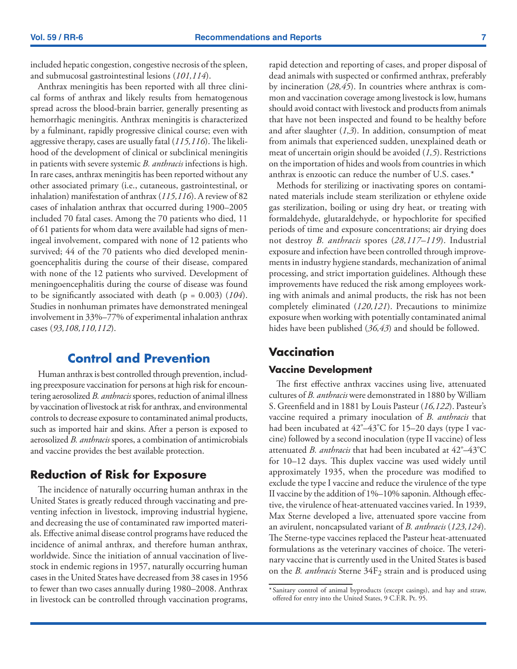<span id="page-8-0"></span>included hepatic congestion, congestive necrosis of the spleen, and submucosal gastrointestinal lesions (*101,114*).

Anthrax meningitis has been reported with all three clinical forms of anthrax and likely results from hematogenous spread across the blood-brain barrier, generally presenting as hemorrhagic meningitis. Anthrax meningitis is characterized by a fulminant, rapidly progressive clinical course; even with aggressive therapy, cases are usually fatal (*115,116*). The likelihood of the development of clinical or subclinical meningitis in patients with severe systemic *B. anthracis* infections is high. In rare cases, anthrax meningitis has been reported without any other associated primary (i.e., cutaneous, gastrointestinal, or inhalation) manifestation of anthrax (*115,116*). A review of 82 cases of inhalation anthrax that occurred during 1900–2005 included 70 fatal cases. Among the 70 patients who died, 11 of 61 patients for whom data were available had signs of meningeal involvement, compared with none of 12 patients who survived; 44 of the 70 patients who died developed meningoencephalitis during the course of their disease, compared with none of the 12 patients who survived. Development of meningoencephalitis during the course of disease was found to be significantly associated with death (p = 0.003) (*104*). Studies in nonhuman primates have demonstrated meningeal involvement in 33%–77% of experimental inhalation anthrax cases (*93,108,110,112*).

# **Control and Prevention**

Human anthrax is best controlled through prevention, including preexposure vaccination for persons at high risk for encountering aerosolized *B. anthracis* spores, reduction of animal illness by vaccination of livestock at risk for anthrax, and environmental controls to decrease exposure to contaminated animal products, such as imported hair and skins. After a person is exposed to aerosolized *B. anthracis* spores, a combination of antimicrobials and vaccine provides the best available protection.

# **Reduction of Risk for Exposure**

The incidence of naturally occurring human anthrax in the United States is greatly reduced through vaccinating and preventing infection in livestock, improving industrial hygiene, and decreasing the use of contaminated raw imported materials. Effective animal disease control programs have reduced the incidence of animal anthrax, and therefore human anthrax, worldwide. Since the initiation of annual vaccination of livestock in endemic regions in 1957, naturally occurring human cases in the United States have decreased from 38 cases in 1956 to fewer than two cases annually during 1980–2008. Anthrax in livestock can be controlled through vaccination programs,

rapid detection and reporting of cases, and proper disposal of dead animals with suspected or confirmed anthrax, preferably by incineration (*28,45*). In countries where anthrax is common and vaccination coverage among livestock is low, humans should avoid contact with livestock and products from animals that have not been inspected and found to be healthy before and after slaughter (*1,3*). In addition, consumption of meat from animals that experienced sudden, unexplained death or meat of uncertain origin should be avoided (*1,5*). Restrictions on the importation of hides and wools from countries in which anthrax is enzootic can reduce the number of U.S. cases.\*

Methods for sterilizing or inactivating spores on contaminated materials include steam sterilization or ethylene oxide gas sterilization, boiling or using dry heat, or treating with formaldehyde, glutaraldehyde, or hypochlorite for specified periods of time and exposure concentrations; air drying does not destroy *B. anthracis* spores (*28,117–119*). Industrial exposure and infection have been controlled through improvements in industry hygiene standards, mechanization of animal processing, and strict importation guidelines. Although these improvements have reduced the risk among employees working with animals and animal products, the risk has not been completely eliminated (*120,121*). Precautions to minimize exposure when working with potentially contaminated animal hides have been published (*36,43*) and should be followed.

# **Vaccination**

### **Vaccine Development**

The first effective anthrax vaccines using live, attenuated cultures of *B. anthracis* were demonstrated in 1880 by William S. Greenfield and in 1881 by Louis Pasteur (*16,122*). Pasteur's vaccine required a primary inoculation of *B. anthracis* that had been incubated at 42°–43°C for 15–20 days (type I vaccine) followed by a second inoculation (type II vaccine) of less attenuated *B. anthracis* that had been incubated at 42º –43º C for 10–12 days. This duplex vaccine was used widely until approximately 1935, when the procedure was modified to exclude the type I vaccine and reduce the virulence of the type II vaccine by the addition of 1%–10% saponin. Although effective, the virulence of heat-attenuated vaccines varied. In 1939, Max Sterne developed a live, attenuated spore vaccine from an avirulent, noncapsulated variant of *B. anthracis* (*123,124*). The Sterne-type vaccines replaced the Pasteur heat-attenuated formulations as the veterinary vaccines of choice. The veterinary vaccine that is currently used in the United States is based on the *B. anthracis* Sterne 34F<sub>2</sub> strain and is produced using

<sup>\*</sup> Sanitary control of animal byproducts (except casings), and hay and straw, offered for entry into the United States, 9 C.F.R. Pt. 95.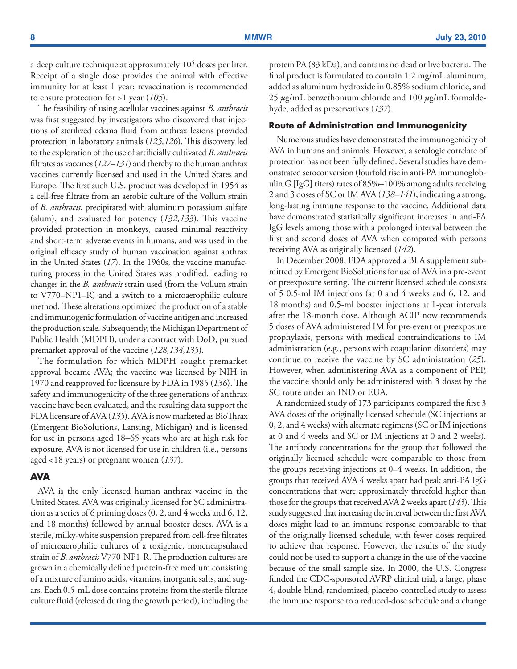a deep culture technique at approximately 105 doses per liter. Receipt of a single dose provides the animal with effective immunity for at least 1 year; revaccination is recommended to ensure protection for >1 year (*105*).

The feasibility of using acellular vaccines against *B. anthracis* was first suggested by investigators who discovered that injections of sterilized edema fluid from anthrax lesions provided protection in laboratory animals (*125,126*). This discovery led to the exploration of the use of artificially cultivated *B. anthracis* filtrates as vaccines (*127–131*) and thereby to the human anthrax vaccines currently licensed and used in the United States and Europe. The first such U.S. product was developed in 1954 as a cell-free filtrate from an aerobic culture of the Vollum strain of *B. anthracis*, precipitated with aluminum potassium sulfate (alum), and evaluated for potency (*132,133*). This vaccine provided protection in monkeys, caused minimal reactivity and short-term adverse events in humans, and was used in the original efficacy study of human vaccination against anthrax in the United States (*17*). In the 1960s, the vaccine manufacturing process in the United States was modified, leading to changes in the *B. anthracis* strain used (from the Vollum strain to V770–NP1–R) and a switch to a microaerophilic culture method. These alterations optimized the production of a stable and immunogenic formulation of vaccine antigen and increased the production scale. Subsequently, the Michigan Department of Public Health (MDPH), under a contract with DoD, pursued premarket approval of the vaccine (*128,134,135*).

The formulation for which MDPH sought premarket approval became AVA; the vaccine was licensed by NIH in 1970 and reapproved for licensure by FDA in 1985 (*136*). The safety and immunogenicity of the three generations of anthrax vaccine have been evaluated, and the resulting data support the FDA licensure of AVA (*135*). AVA is now marketed as BioThrax (Emergent BioSolutions, Lansing, Michigan) and is licensed for use in persons aged 18–65 years who are at high risk for exposure. AVA is not licensed for use in children (i.e., persons aged <18 years) or pregnant women (*137*).

#### **AVA**

AVA is the only licensed human anthrax vaccine in the United States. AVA was originally licensed for SC administration as a series of 6 priming doses (0, 2, and 4 weeks and 6, 12, and 18 months) followed by annual booster doses. AVA is a sterile, milky-white suspension prepared from cell-free filtrates of microaerophilic cultures of a toxigenic, nonencapsulated strain of *B. anthracis* V770-NP1-R. The production cultures are grown in a chemically defined protein-free medium consisting of a mixture of amino acids, vitamins, inorganic salts, and sugars. Each 0.5-mL dose contains proteins from the sterile filtrate culture fluid (released during the growth period), including the protein PA (83 kDa), and contains no dead or live bacteria. The final product is formulated to contain 1.2 mg/mL aluminum, added as aluminum hydroxide in 0.85% sodium chloride, and 25 *µ*g/mL benzethonium chloride and 100 *µ*g/mL formaldehyde, added as preservatives (*137*).

#### **Route of Administration and Immunogenicity**

Numerous studies have demonstrated the immunogenicity of AVA in humans and animals. However, a serologic correlate of protection has not been fully defined. Several studies have demonstrated seroconversion (fourfold rise in anti-PA immunoglobulin G [IgG] titers) rates of 85%–100% among adults receiving 2 and 3 doses of SC or IM AVA (*138–141*), indicating a strong, long-lasting immune response to the vaccine. Additional data have demonstrated statistically significant increases in anti-PA IgG levels among those with a prolonged interval between the first and second doses of AVA when compared with persons receiving AVA as originally licensed (*142*).

In December 2008, FDA approved a BLA supplement submitted by Emergent BioSolutions for use of AVA in a pre-event or preexposure setting. The current licensed schedule consists of 5 0.5-ml IM injections (at 0 and 4 weeks and 6, 12, and 18 months) and 0.5-ml booster injections at 1-year intervals after the 18-month dose. Although ACIP now recommends 5 doses of AVA administered IM for pre-event or preexposure prophylaxis, persons with medical contraindications to IM administration (e.g., persons with coagulation disorders) may continue to receive the vaccine by SC administration (*25*). However, when administering AVA as a component of PEP, the vaccine should only be administered with 3 doses by the SC route under an IND or EUA.

A randomized study of 173 participants compared the first 3 AVA doses of the originally licensed schedule (SC injections at 0, 2, and 4 weeks) with alternate regimens (SC or IM injections at 0 and 4 weeks and SC or IM injections at 0 and 2 weeks). The antibody concentrations for the group that followed the originally licensed schedule were comparable to those from the groups receiving injections at 0–4 weeks. In addition, the groups that received AVA 4 weeks apart had peak anti-PA IgG concentrations that were approximately threefold higher than those for the groups that received AVA 2 weeks apart (*143*). This study suggested that increasing the interval between the first AVA doses might lead to an immune response comparable to that of the originally licensed schedule, with fewer doses required to achieve that response. However, the results of the study could not be used to support a change in the use of the vaccine because of the small sample size. In 2000, the U.S. Congress funded the CDC-sponsored AVRP clinical trial, a large, phase 4, double-blind, randomized, placebo-controlled study to assess the immune response to a reduced-dose schedule and a change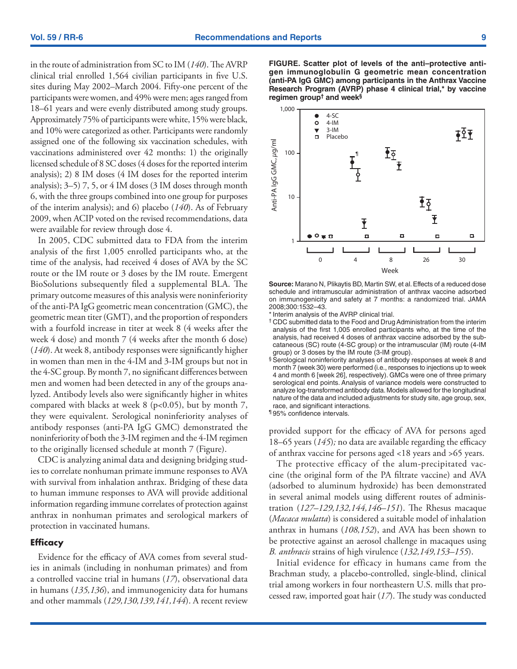in the route of administration from SC to IM (*140*). The AVRP clinical trial enrolled 1,564 civilian participants in five U.S. sites during May 2002–March 2004. Fifty-one percent of the participants were women, and 49% were men; ages ranged from 18–61 years and were evenly distributed among study groups. Approximately 75% of participants were white, 15% were black, and 10% were categorized as other. Participants were randomly assigned one of the following six vaccination schedules, with vaccinations administered over 42 months: 1) the originally licensed schedule of 8 SC doses (4 doses for the reported interim analysis); 2) 8 IM doses (4 IM doses for the reported interim analysis); 3–5) 7, 5, or 4 IM doses (3 IM doses through month 6, with the three groups combined into one group for purposes of the interim analysis); and 6) placebo (*140*). As of February 2009, when ACIP voted on the revised recommendations, data were available for review through dose 4.

In 2005, CDC submitted data to FDA from the interim analysis of the first 1,005 enrolled participants who, at the time of the analysis, had received 4 doses of AVA by the SC route or the IM route or 3 doses by the IM route. Emergent BioSolutions subsequently filed a supplemental BLA. The primary outcome measures of this analysis were noninferiority of the anti-PA IgG geometric mean concentration (GMC), the geometric mean titer (GMT), and the proportion of responders with a fourfold increase in titer at week 8 (4 weeks after the week 4 dose) and month 7 (4 weeks after the month 6 dose) (*140*). At week 8, antibody responses were significantly higher in women than men in the 4-IM and 3-IM groups but not in the 4-SC group. By month 7, no significant differences between men and women had been detected in any of the groups analyzed. Antibody levels also were significantly higher in whites compared with blacks at week 8 ( $p<0.05$ ), but by month 7, they were equivalent. Serological noninferiority analyses of antibody responses (anti-PA IgG GMC) demonstrated the noninferiority of both the 3-IM regimen and the 4-IM regimen to the originally licensed schedule at month 7 (Figure).

CDC is analyzing animal data and designing bridging studies to correlate nonhuman primate immune responses to AVA with survival from inhalation anthrax. Bridging of these data to human immune responses to AVA will provide additional information regarding immune correlates of protection against anthrax in nonhuman primates and serological markers of protection in vaccinated humans.

#### **Efficacy**

Evidence for the efficacy of AVA comes from several studies in animals (including in nonhuman primates) and from a controlled vaccine trial in humans (*17*), observational data in humans (*135,136*), and immunogenicity data for humans and other mammals (*129,130,139,141,144*). A recent review **FIGURE. Scatter plot of levels of the anti–protective antigen immunoglobulin G geometric mean concentration (anti-PA IgG GMC) among participants in the Anthrax Vaccine Research Program (AVRP) phase 4 clinical trial,\* by vaccine regimen group† and week§**



**Source:** Marano N, Plikaytis BD, Martin SW, et al. Effects of a reduced dose schedule and intramuscular administration of anthrax vaccine adsorbed on immunogenicity and safety at 7 months: a randomized trial. JAMA 2008;300:1532–43.

\*Interim analysis of the AVRP clinical trial.

- † CDC submitted data to the Food and Drug Administration from the interim analysis of the first 1,005 enrolled participants who, at the time of the analysis, had received 4 doses of anthrax vaccine adsorbed by the subcataneous (SC) route (4-SC group) or the intramuscular (IM) route (4-IM group) or 3 doses by the IM route (3-IM group).
- § Serological noninferiority analyses of antibody responses at week 8 and month 7 (week 30) were performed (i.e., responses to injections up to week 4 and month 6 [week 26], respectively). GMCs were one of three primary serological end points. Analysis of variance models were constructed to analyze log-transformed antibody data. Models allowed for the longitudinal nature of the data and included adjustments for study site, age group, sex, race, and significant interactions.

¶ 95% confidence intervals.

provided support for the efficacy of AVA for persons aged 18–65 years (*145*)*;* no data are available regarding the efficacy of anthrax vaccine for persons aged <18 years and >65 years.

The protective efficacy of the alum-precipitated vaccine (the original form of the PA filtrate vaccine) and AVA (adsorbed to aluminum hydroxide) has been demonstrated in several animal models using different routes of administration (*127–129,132,144,146–151*). The Rhesus macaque (*Macaca mulatta*) is considered a suitable model of inhalation anthrax in humans (*108,152*), and AVA has been shown to be protective against an aerosol challenge in macaques using *B. anthracis* strains of high virulence (*132,149,153–155*).

Initial evidence for efficacy in humans came from the Brachman study, a placebo-controlled, single-blind, clinical trial among workers in four northeastern U.S. mills that processed raw, imported goat hair (*17*). The study was conducted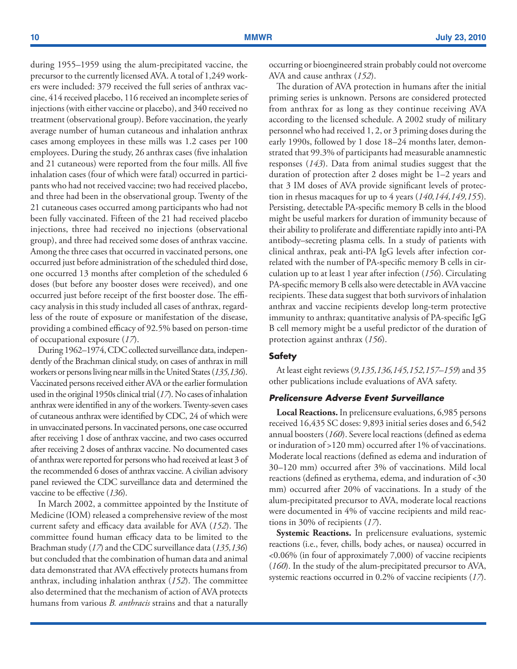during 1955–1959 using the alum-precipitated vaccine, the precursor to the currently licensed AVA. A total of 1,249 workers were included: 379 received the full series of anthrax vaccine, 414 received placebo, 116 received an incomplete series of injections (with either vaccine or placebo), and 340 received no treatment (observational group). Before vaccination, the yearly average number of human cutaneous and inhalation anthrax cases among employees in these mills was 1.2 cases per 100 employees. During the study, 26 anthrax cases (five inhalation and 21 cutaneous) were reported from the four mills. All five inhalation cases (four of which were fatal) occurred in participants who had not received vaccine; two had received placebo, and three had been in the observational group. Twenty of the 21 cutaneous cases occurred among participants who had not been fully vaccinated. Fifteen of the 21 had received placebo injections, three had received no injections (observational group), and three had received some doses of anthrax vaccine. Among the three cases that occurred in vaccinated persons, one occurred just before administration of the scheduled third dose, one occurred 13 months after completion of the scheduled 6 doses (but before any booster doses were received), and one occurred just before receipt of the first booster dose. The efficacy analysis in this study included all cases of anthrax, regardless of the route of exposure or manifestation of the disease, providing a combined efficacy of 92.5% based on person-time of occupational exposure (*17*).

During 1962–1974, CDC collected surveillance data, independently of the Brachman clinical study, on cases of anthrax in mill workers or persons living near mills in the United States(*135,136*). Vaccinated persons received either AVA or the earlier formulation used in the original 1950s clinical trial (*17*). No cases of inhalation anthrax were identified in any of the workers. Twenty-seven cases of cutaneous anthrax were identified by CDC, 24 of which were in unvaccinated persons. In vaccinated persons, one case occurred after receiving 1 dose of anthrax vaccine, and two cases occurred after receiving 2 doses of anthrax vaccine. No documented cases of anthrax were reported for persons who had received at least 3 of the recommended 6 doses of anthrax vaccine. A civilian advisory panel reviewed the CDC surveillance data and determined the vaccine to be effective (*136*).

In March 2002, a committee appointed by the Institute of Medicine (IOM) released a comprehensive review of the most current safety and efficacy data available for AVA (*152*). The committee found human efficacy data to be limited to the Brachman study (*17*) and the CDC surveillance data (*135,136*) but concluded that the combination of human data and animal data demonstrated that AVA effectively protects humans from anthrax, including inhalation anthrax (*152*). The committee also determined that the mechanism of action of AVA protects humans from various *B. anthracis* strains and that a naturally

occurring or bioengineered strain probably could not overcome AVA and cause anthrax (*152*).

The duration of AVA protection in humans after the initial priming series is unknown. Persons are considered protected from anthrax for as long as they continue receiving AVA according to the licensed schedule. A 2002 study of military personnel who had received 1, 2, or 3 priming doses during the early 1990s, followed by 1 dose 18–24 months later, demonstrated that 99.3% of participants had measurable anamnestic responses (*143*). Data from animal studies suggest that the duration of protection after 2 doses might be 1–2 years and that 3 IM doses of AVA provide significant levels of protection in rhesus macaques for up to 4 years (*140,144,149,155*). Persisting, detectable PA-specific memory B cells in the blood might be useful markers for duration of immunity because of their ability to proliferate and differentiate rapidly into anti-PA antibody–secreting plasma cells. In a study of patients with clinical anthrax, peak anti-PA IgG levels after infection correlated with the number of PA-specific memory B cells in circulation up to at least 1 year after infection (*156*). Circulating PA-specific memory B cells also were detectable in AVA vaccine recipients. These data suggest that both survivors of inhalation anthrax and vaccine recipients develop long-term protective immunity to anthrax; quantitative analysis of PA-specific IgG B cell memory might be a useful predictor of the duration of protection against anthrax (*156*).

#### **Safety**

At least eight reviews (*9,135,136,145,152,157–159*) and 35 other publications include evaluations of AVA safety.

#### *Prelicensure Adverse Event Surveillance*

**Local Reactions.** In prelicensure evaluations, 6,985 persons received 16,435 SC doses: 9,893 initial series doses and 6,542 annual boosters (*160*). Severe local reactions (defined as edema or induration of >120 mm) occurred after 1% of vaccinations. Moderate local reactions (defined as edema and induration of 30–120 mm) occurred after 3% of vaccinations. Mild local reactions (defined as erythema, edema, and induration of <30 mm) occurred after 20% of vaccinations. In a study of the alum-precipitated precursor to AVA, moderate local reactions were documented in 4% of vaccine recipients and mild reactions in 30% of recipients (*17*).

**Systemic Reactions.** In prelicensure evaluations, systemic reactions (i.e., fever, chills, body aches, or nausea) occurred in <0.06% (in four of approximately 7,000) of vaccine recipients (*160*). In the study of the alum-precipitated precursor to AVA, systemic reactions occurred in 0.2% of vaccine recipients (*17*).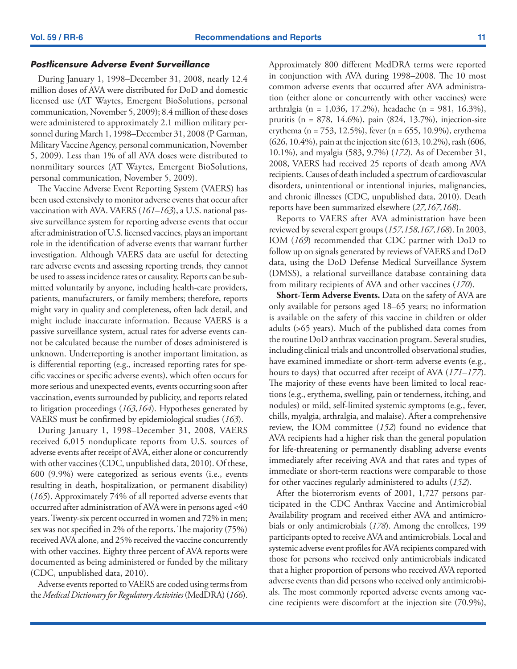#### *Postlicensure Adverse Event Surveillance*

During January 1, 1998–December 31, 2008, nearly 12.4 million doses of AVA were distributed for DoD and domestic licensed use (AT Waytes, Emergent BioSolutions, personal communication, November 5, 2009); 8.4 million of these doses were administered to approximately 2.1 million military personnel during March 1, 1998–December 31, 2008 (P Garman, Military Vaccine Agency, personal communication, November 5, 2009). Less than 1% of all AVA doses were distributed to nonmilitary sources (AT Waytes, Emergent BioSolutions, personal communication, November 5, 2009).

The Vaccine Adverse Event Reporting System (VAERS) has been used extensively to monitor adverse events that occur after vaccination with AVA. VAERS (*161–163*), a U.S. national passive surveillance system for reporting adverse events that occur after administration of U.S. licensed vaccines, plays an important role in the identification of adverse events that warrant further investigation. Although VAERS data are useful for detecting rare adverse events and assessing reporting trends, they cannot be used to assess incidence rates or causality. Reports can be submitted voluntarily by anyone, including health-care providers, patients, manufacturers, or family members; therefore, reports might vary in quality and completeness, often lack detail, and might include inaccurate information. Because VAERS is a passive surveillance system, actual rates for adverse events cannot be calculated because the number of doses administered is unknown. Underreporting is another important limitation, as is differential reporting (e.g., increased reporting rates for specific vaccines or specific adverse events), which often occurs for more serious and unexpected events, events occurring soon after vaccination, events surrounded by publicity, and reports related to litigation proceedings (*163,164*). Hypotheses generated by VAERS must be confirmed by epidemiological studies (*163*).

During January 1, 1998–December 31, 2008, VAERS received 6,015 nonduplicate reports from U.S. sources of adverse events after receipt of AVA, either alone or concurrently with other vaccines (CDC, unpublished data, 2010). Of these, 600 (9.9%) were categorized as serious events (i.e., events resulting in death, hospitalization, or permanent disability) (*165*). Approximately 74% of all reported adverse events that occurred after administration of AVA were in persons aged <40 years. Twenty-six percent occurred in women and 72% in men; sex was not specified in 2% of the reports. The majority (75%) received AVA alone, and 25% received the vaccine concurrently with other vaccines. Eighty three percent of AVA reports were documented as being administered or funded by the military (CDC, unpublished data, 2010).

Adverse events reported to VAERS are coded using terms from the *Medical Dictionary for Regulatory Activities* (MedDRA) (*166*).

Approximately 800 different MedDRA terms were reported in conjunction with AVA during 1998–2008. The 10 most common adverse events that occurred after AVA administration (either alone or concurrently with other vaccines) were arthralgia (n = 1,036, 17.2%), headache (n = 981, 16.3%), pruritis (n = 878, 14.6%), pain (824, 13.7%), injection-site erythema (n = 753, 12.5%), fever (n = 655, 10.9%), erythema (626, 10.4%), pain at the injection site (613, 10.2%), rash (606, 10.1%), and myalgia (583, 9.7%) (*172*). As of December 31, 2008, VAERS had received 25 reports of death among AVA recipients. Causes of death included a spectrum of cardiovascular disorders, unintentional or intentional injuries, malignancies, and chronic illnesses (CDC, unpublished data, 2010). Death reports have been summarized elsewhere (*27,167,168*).

Reports to VAERS after AVA administration have been reviewed by several expert groups (*157,158,167,168*). In 2003, IOM (*169*) recommended that CDC partner with DoD to follow up on signals generated by reviews of VAERS and DoD data, using the DoD Defense Medical Surveillance System (DMSS), a relational surveillance database containing data from military recipients of AVA and other vaccines (*170*).

**Short-Term Adverse Events.** Data on the safety of AVA are only available for persons aged 18–65 years; no information is available on the safety of this vaccine in children or older adults (>65 years). Much of the published data comes from the routine DoD anthrax vaccination program. Several studies, including clinical trials and uncontrolled observational studies, have examined immediate or short-term adverse events (e.g., hours to days) that occurred after receipt of AVA (*171–177*). The majority of these events have been limited to local reactions (e.g., erythema, swelling, pain or tenderness, itching, and nodules) or mild, self-limited systemic symptoms (e.g., fever, chills, myalgia, arthralgia, and malaise). After a comprehensive review, the IOM committee (*152*) found no evidence that AVA recipients had a higher risk than the general population for life-threatening or permanently disabling adverse events immediately after receiving AVA and that rates and types of immediate or short-term reactions were comparable to those for other vaccines regularly administered to adults (*152*).

After the bioterrorism events of 2001, 1,727 persons participated in the CDC Anthrax Vaccine and Antimicrobial Availability program and received either AVA and antimicrobials or only antimicrobials (*178*). Among the enrollees, 199 participants opted to receive AVA and antimicrobials. Local and systemic adverse event profiles for AVA recipients compared with those for persons who received only antimicrobials indicated that a higher proportion of persons who received AVA reported adverse events than did persons who received only antimicrobials. The most commonly reported adverse events among vaccine recipients were discomfort at the injection site (70.9%),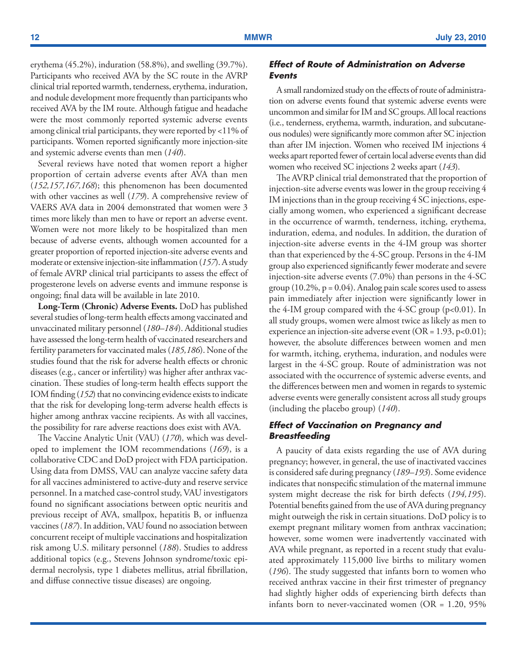erythema (45.2%), induration (58.8%), and swelling (39.7%). Participants who received AVA by the SC route in the AVRP clinical trial reported warmth, tenderness, erythema, induration, and nodule development more frequently than participants who received AVA by the IM route. Although fatigue and headache were the most commonly reported systemic adverse events among clinical trial participants, they were reported by <11% of participants. Women reported significantly more injection-site and systemic adverse events than men (*140*).

Several reviews have noted that women report a higher proportion of certain adverse events after AVA than men (*152,157,167,168*); this phenomenon has been documented with other vaccines as well (*179*). A comprehensive review of VAERS AVA data in 2004 demonstrated that women were 3 times more likely than men to have or report an adverse event. Women were not more likely to be hospitalized than men because of adverse events, although women accounted for a greater proportion of reported injection-site adverse events and moderate or extensive injection-site inflammation (*157*). A study of female AVRP clinical trial participants to assess the effect of progesterone levels on adverse events and immune response is ongoing; final data will be available in late 2010.

**Long-Term (Chronic) Adverse Events.** DoD has published several studies of long-term health effects among vaccinated and unvaccinated military personnel (*180–184*). Additional studies have assessed the long-term health of vaccinated researchers and fertility parameters for vaccinated males (*185,186*). None of the studies found that the risk for adverse health effects or chronic diseases (e.g., cancer or infertility) was higher after anthrax vaccination. These studies of long-term health effects support the IOM finding (*152*) that no convincing evidence exists to indicate that the risk for developing long-term adverse health effects is higher among anthrax vaccine recipients. As with all vaccines, the possibility for rare adverse reactions does exist with AVA.

The Vaccine Analytic Unit (VAU) (*170*)*,* which was developed to implement the IOM recommendations (*169*), is a collaborative CDC and DoD project with FDA participation. Using data from DMSS, VAU can analyze vaccine safety data for all vaccines administered to active-duty and reserve service personnel. In a matched case-control study, VAU investigators found no significant associations between optic neuritis and previous receipt of AVA, smallpox, hepatitis B, or influenza vaccines (*187*). In addition, VAU found no association between concurrent receipt of multiple vaccinations and hospitalization risk among U.S. military personnel (*188*). Studies to address additional topics (e.g., Stevens Johnson syndrome/toxic epidermal necrolysis, type 1 diabetes mellitus, atrial fibrillation, and diffuse connective tissue diseases) are ongoing.

### *Effect of Route of Administration on Adverse Events*

A small randomized study on the effects of route of administration on adverse events found that systemic adverse events were uncommon and similar for IM and SC groups. All local reactions (i.e., tenderness, erythema, warmth, induration, and subcutaneous nodules) were significantly more common after SC injection than after IM injection. Women who received IM injections 4 weeks apart reported fewer of certain local adverse events than did women who received SC injections 2 weeks apart (*143*).

The AVRP clinical trial demonstrated that the proportion of injection-site adverse events was lower in the group receiving 4 IM injections than in the group receiving 4 SC injections, especially among women, who experienced a significant decrease in the occurrence of warmth, tenderness, itching, erythema, induration, edema, and nodules. In addition, the duration of injection-site adverse events in the 4-IM group was shorter than that experienced by the 4-SC group. Persons in the 4-IM group also experienced significantly fewer moderate and severe injection-site adverse events (7.0%) than persons in the 4-SC group  $(10.2\%, p = 0.04)$ . Analog pain scale scores used to assess pain immediately after injection were significantly lower in the 4-IM group compared with the 4-SC group  $(p<0.01)$ . In all study groups, women were almost twice as likely as men to experience an injection-site adverse event ( $OR = 1.93$ , p<0.01); however, the absolute differences between women and men for warmth, itching, erythema, induration, and nodules were largest in the 4-SC group. Route of administration was not associated with the occurrence of systemic adverse events, and the differences between men and women in regards to systemic adverse events were generally consistent across all study groups (including the placebo group) (*140*).

### *Effect of Vaccination on Pregnancy and Breastfeeding*

A paucity of data exists regarding the use of AVA during pregnancy; however, in general, the use of inactivated vaccines is considered safe during pregnancy (*189–193*). Some evidence indicates that nonspecific stimulation of the maternal immune system might decrease the risk for birth defects (*194,195*). Potential benefits gained from the use of AVA during pregnancy might outweigh the risk in certain situations. DoD policy is to exempt pregnant military women from anthrax vaccination; however, some women were inadvertently vaccinated with AVA while pregnant, as reported in a recent study that evaluated approximately 115,000 live births to military women (*196*). The study suggested that infants born to women who received anthrax vaccine in their first trimester of pregnancy had slightly higher odds of experiencing birth defects than infants born to never-vaccinated women (OR = 1.20, 95%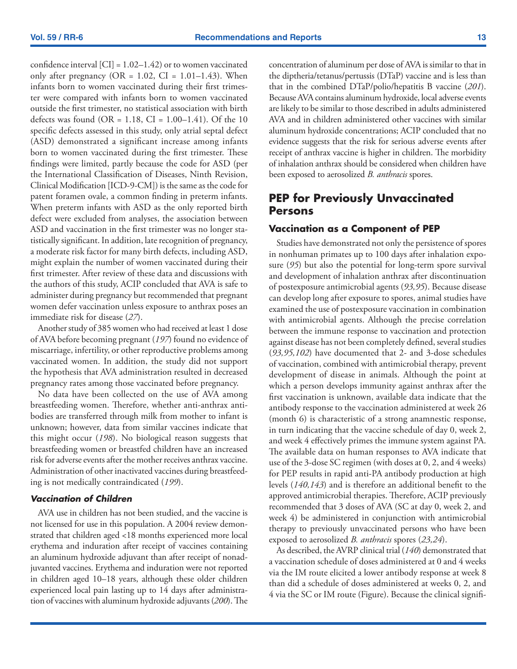<span id="page-14-0"></span>confidence interval  $[CI] = 1.02-1.42$  or to women vaccinated only after pregnancy (OR =  $1.02$ , CI =  $1.01-1.43$ ). When infants born to women vaccinated during their first trimester were compared with infants born to women vaccinated outside the first trimester, no statistical association with birth defects was found (OR =  $1.18$ , CI =  $1.00-1.41$ ). Of the 10 specific defects assessed in this study, only atrial septal defect (ASD) demonstrated a significant increase among infants born to women vaccinated during the first trimester. These findings were limited, partly because the code for ASD (per the International Classification of Diseases, Ninth Revision, Clinical Modification [ICD-9-CM]) is the same as the code for patent foramen ovale, a common finding in preterm infants. When preterm infants with ASD as the only reported birth defect were excluded from analyses, the association between ASD and vaccination in the first trimester was no longer statistically significant. In addition, late recognition of pregnancy, a moderate risk factor for many birth defects, including ASD, might explain the number of women vaccinated during their first trimester. After review of these data and discussions with the authors of this study, ACIP concluded that AVA is safe to administer during pregnancy but recommended that pregnant women defer vaccination unless exposure to anthrax poses an immediate risk for disease (*27*).

Another study of 385 women who had received at least 1 dose of AVA before becoming pregnant (*197*) found no evidence of miscarriage, infertility, or other reproductive problems among vaccinated women. In addition, the study did not support the hypothesis that AVA administration resulted in decreased pregnancy rates among those vaccinated before pregnancy.

No data have been collected on the use of AVA among breastfeeding women. Therefore, whether anti-anthrax antibodies are transferred through milk from mother to infant is unknown; however, data from similar vaccines indicate that this might occur (*198*). No biological reason suggests that breastfeeding women or breastfed children have an increased risk for adverse events after the mother receives anthrax vaccine. Administration of other inactivated vaccines during breastfeeding is not medically contraindicated (*199*).

#### *Vaccination of Children*

AVA use in children has not been studied, and the vaccine is not licensed for use in this population. A 2004 review demonstrated that children aged <18 months experienced more local erythema and induration after receipt of vaccines containing an aluminum hydroxide adjuvant than after receipt of nonadjuvanted vaccines. Erythema and induration were not reported in children aged 10–18 years, although these older children experienced local pain lasting up to 14 days after administration of vaccines with aluminum hydroxide adjuvants (*200*). The concentration of aluminum per dose of AVA is similar to that in the diptheria/tetanus/pertussis (DTaP) vaccine and is less than that in the combined DTaP/polio/hepatitis B vaccine (*201*). Because AVA contains aluminum hydroxide, local adverse events are likely to be similar to those described in adults administered AVA and in children administered other vaccines with similar aluminum hydroxide concentrations; ACIP concluded that no evidence suggests that the risk for serious adverse events after receipt of anthrax vaccine is higher in children. The morbidity of inhalation anthrax should be considered when children have been exposed to aerosolized *B. anthracis* spores.

# **PEP for Previously Unvaccinated Persons**

### **Vaccination as a Component of PEP**

Studies have demonstrated not only the persistence of spores in nonhuman primates up to 100 days after inhalation exposure (*95*) but also the potential for long-term spore survival and development of inhalation anthrax after discontinuation of postexposure antimicrobial agents (*93,95*). Because disease can develop long after exposure to spores, animal studies have examined the use of postexposure vaccination in combination with antimicrobial agents. Although the precise correlation between the immune response to vaccination and protection against disease has not been completely defined, several studies (*93,95,102*) have documented that 2- and 3-dose schedules of vaccination, combined with antimicrobial therapy, prevent development of disease in animals. Although the point at which a person develops immunity against anthrax after the first vaccination is unknown, available data indicate that the antibody response to the vaccination administered at week 26 (month 6) is characteristic of a strong anamnestic response, in turn indicating that the vaccine schedule of day 0, week 2, and week 4 effectively primes the immune system against PA. The available data on human responses to AVA indicate that use of the 3-dose SC regimen (with doses at 0, 2, and 4 weeks) for PEP results in rapid anti-PA antibody production at high levels (*140,143*) and is therefore an additional benefit to the approved antimicrobial therapies. Therefore, ACIP previously recommended that 3 doses of AVA (SC at day 0, week 2, and week 4) be administered in conjunction with antimicrobial therapy to previously unvaccinated persons who have been exposed to aerosolized *B. anthracis* spores (*23,24*).

As described, the AVRP clinical trial (*140*) demonstrated that a vaccination schedule of doses administered at 0 and 4 weeks via the IM route elicited a lower antibody response at week 8 than did a schedule of doses administered at weeks 0, 2, and 4 via the SC or IM route (Figure). Because the clinical signifi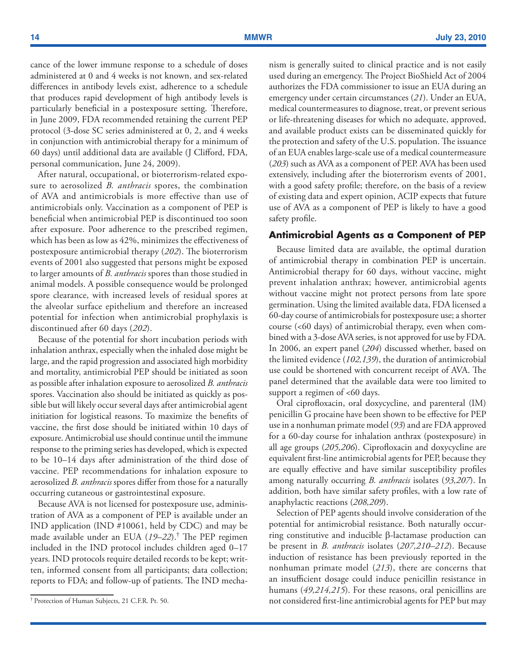cance of the lower immune response to a schedule of doses administered at 0 and 4 weeks is not known, and sex-related differences in antibody levels exist, adherence to a schedule that produces rapid development of high antibody levels is particularly beneficial in a postexposure setting. Therefore, in June 2009, FDA recommended retaining the current PEP protocol (3-dose SC series administered at 0, 2, and 4 weeks in conjunction with antimicrobial therapy for a minimum of 60 days) until additional data are available (J Clifford, FDA, personal communication, June 24, 2009).

After natural, occupational, or bioterrorism-related exposure to aerosolized *B. anthracis* spores, the combination of AVA and antimicrobials is more effective than use of antimicrobials only. Vaccination as a component of PEP is beneficial when antimicrobial PEP is discontinued too soon after exposure. Poor adherence to the prescribed regimen, which has been as low as 42%, minimizes the effectiveness of postexposure antimicrobial therapy (*202*). The bioterrorism events of 2001 also suggested that persons might be exposed to larger amounts of *B. anthracis* spores than those studied in animal models. A possible consequence would be prolonged spore clearance, with increased levels of residual spores at the alveolar surface epithelium and therefore an increased potential for infection when antimicrobial prophylaxis is discontinued after 60 days (*202*).

Because of the potential for short incubation periods with inhalation anthrax, especially when the inhaled dose might be large, and the rapid progression and associated high morbidity and mortality, antimicrobial PEP should be initiated as soon as possible after inhalation exposure to aerosolized *B. anthracis* spores. Vaccination also should be initiated as quickly as possible but will likely occur several days after antimicrobial agent initiation for logistical reasons. To maximize the benefits of vaccine, the first dose should be initiated within 10 days of exposure. Antimicrobial use should continue until the immune response to the priming series has developed, which is expected to be 10–14 days after administration of the third dose of vaccine. PEP recommendations for inhalation exposure to aerosolized *B. anthracis* spores differ from those for a naturally occurring cutaneous or gastrointestinal exposure.

Because AVA is not licensed for postexposure use, administration of AVA as a component of PEP is available under an IND application (IND #10061, held by CDC) and may be made available under an EUA (*19–22*).† The PEP regimen included in the IND protocol includes children aged 0–17 years. IND protocols require detailed records to be kept; written, informed consent from all participants; data collection; reports to FDA; and follow-up of patients. The IND mechanism is generally suited to clinical practice and is not easily used during an emergency. The Project BioShield Act of 2004 authorizes the FDA commissioner to issue an EUA during an emergency under certain circumstances (*21*). Under an EUA, medical countermeasures to diagnose, treat, or prevent serious or life-threatening diseases for which no adequate, approved, and available product exists can be disseminated quickly for the protection and safety of the U.S. population. The issuance of an EUA enables large-scale use of a medical countermeasure (*203*) such as AVA as a component of PEP. AVA has been used extensively, including after the bioterrorism events of 2001, with a good safety profile; therefore, on the basis of a review of existing data and expert opinion, ACIP expects that future use of AVA as a component of PEP is likely to have a good safety profile.

#### **Antimicrobial Agents as a Component of PEP**

Because limited data are available, the optimal duration of antimicrobial therapy in combination PEP is uncertain. Antimicrobial therapy for 60 days, without vaccine, might prevent inhalation anthrax; however, antimicrobial agents without vaccine might not protect persons from late spore germination. Using the limited available data, FDA licensed a 60-day course of antimicrobials for postexposure use; a shorter course (<60 days) of antimicrobial therapy, even when combined with a 3-dose AVA series, is not approved for use by FDA. In 2006, an expert panel (*204*) discussed whether, based on the limited evidence (*102,139*), the duration of antimicrobial use could be shortened with concurrent receipt of AVA. The panel determined that the available data were too limited to support a regimen of <60 days.

Oral ciprofloxacin, oral doxycycline, and parenteral (IM) penicillin G procaine have been shown to be effective for PEP use in a nonhuman primate model (*93*) and are FDA approved for a 60-day course for inhalation anthrax (postexposure) in all age groups (*205,206*). Ciprofloxacin and doxycycline are equivalent first-line antimicrobial agents for PEP, because they are equally effective and have similar susceptibility profiles among naturally occurring *B. anthracis* isolates (*93,207*). In addition, both have similar safety profiles, with a low rate of anaphylactic reactions (*208,209*).

Selection of PEP agents should involve consideration of the potential for antimicrobial resistance. Both naturally occurring constitutive and inducible β-lactamase production can be present in *B. anthracis* isolates (*207,210–212*). Because induction of resistance has been previously reported in the nonhuman primate model (*213*), there are concerns that an insufficient dosage could induce penicillin resistance in humans (*49,214,215*). For these reasons, oral penicillins are not considered first-line antimicrobial agents for PEP but may † Protection of Human Subjects, 21 C.F.R. Pt. 50.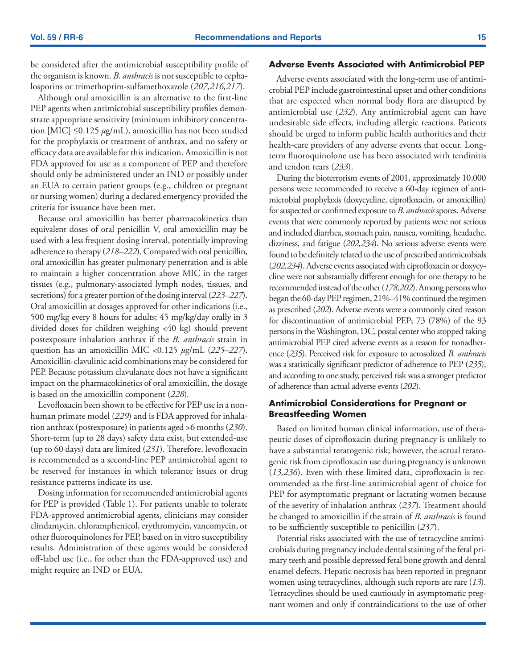be considered after the antimicrobial susceptibility profile of the organism is known. *B. anthracis* is not susceptible to cephalosporins or trimethoprim-sulfamethoxazole (*207,216,217*).

Although oral amoxicillin is an alternative to the first-line PEP agents when antimicrobial susceptibility profiles demonstrate appropriate sensitivity (minimum inhibitory concentration [MIC] ≤0.125 *µ*g/mL), amoxicillin has not been studied for the prophylaxis or treatment of anthrax, and no safety or efficacy data are available for this indication. Amoxicillin is not FDA approved for use as a component of PEP and therefore should only be administered under an IND or possibly under an EUA to certain patient groups (e.g., children or pregnant or nursing women) during a declared emergency provided the criteria for issuance have been met.

Because oral amoxicillin has better pharmacokinetics than equivalent doses of oral penicillin V, oral amoxicillin may be used with a less frequent dosing interval, potentially improving adherence to therapy (*218–222*). Compared with oral penicillin, oral amoxicillin has greater pulmonary penetration and is able to maintain a higher concentration above MIC in the target tissues (e.g., pulmonary-associated lymph nodes, tissues, and secretions) for a greater portion of the dosing interval (*223–227*). Oral amoxicillin at dosages approved for other indications (i.e., 500 mg/kg every 8 hours for adults; 45 mg/kg/day orally in 3 divided doses for children weighing <40 kg) should prevent postexposure inhalation anthrax if the *B. anthracis* strain in question has an amoxicillin MIC <0.125 *µ*g/mL (*225–227*). Amoxicillin-clavulinic acid combinations may be considered for PEP. Because potassium clavulanate does not have a significant impact on the pharmacokinetics of oral amoxicillin, the dosage is based on the amoxicillin component (*228*)*.* 

Levofloxacin been shown to be effective for PEP use in a nonhuman primate model (*229*) and is FDA approved for inhalation anthrax (postexposure) in patients aged >6 months (*230*). Short-term (up to 28 days) safety data exist, but extended-use (up to 60 days) data are limited (*231*). Therefore, levofloxacin is recommended as a second-line PEP antimicrobial agent to be reserved for instances in which tolerance issues or drug resistance patterns indicate its use.

Dosing information for recommended antimicrobial agents for PEP is provided (Table 1). For patients unable to tolerate FDA-approved antimicrobial agents, clinicians may consider clindamycin, chloramphenicol, erythromycin, vancomycin, or other fluoroquinolones for PEP, based on in vitro susceptibility results. Administration of these agents would be considered off-label use (i.e., for other than the FDA-approved use) and might require an IND or EUA.

### **Adverse Events Associated with Antimicrobial PEP**

Adverse events associated with the long-term use of antimicrobial PEP include gastrointestinal upset and other conditions that are expected when normal body flora are disrupted by antimicrobial use (*232*). Any antimicrobial agent can have undesirable side effects, including allergic reactions. Patients should be urged to inform public health authorities and their health-care providers of any adverse events that occur. Longterm fluoroquinolone use has been associated with tendinitis and tendon tears (*233*).

During the bioterrorism events of 2001, approximately 10,000 persons were recommended to receive a 60-day regimen of antimicrobial prophylaxis (doxycycline, ciprofloxacin, or amoxicillin) for suspected or confirmed exposure to *B. anthracis* spores. Adverse events that were commonly reported by patients were not serious and included diarrhea, stomach pain, nausea, vomiting, headache, dizziness, and fatigue (*202,234*). No serious adverse events were found to be definitely related to the use of prescribed antimicrobials (*202,234*). Adverse events associated with ciprofloxacin or doxycycline were not substantially different enough for one therapy to be recommended instead of the other (*178,202*). Among persons who began the 60-day PEP regimen, 21%–41% continued the regimen as prescribed (*202*). Adverse events were a commonly cited reason for discontinuation of antimicrobial PEP; 73 (78%) of the 93 persons in the Washington, DC, postal center who stopped taking antimicrobial PEP cited adverse events as a reason for nonadherence (*235*). Perceived risk for exposure to aerosolized *B. anthracis* was a statistically significant predictor of adherence to PEP (*235*), and according to one study, perceived risk was a stronger predictor of adherence than actual adverse events (*202*).

### **Antimicrobial Considerations for Pregnant or Breastfeeding Women**

Based on limited human clinical information, use of therapeutic doses of ciprofloxacin during pregnancy is unlikely to have a substantial teratogenic risk; however, the actual teratogenic risk from ciprofloxacin use during pregnancy is unknown (*13,236*). Even with these limited data, ciprofloxacin is recommended as the first-line antimicrobial agent of choice for PEP for asymptomatic pregnant or lactating women because of the severity of inhalation anthrax (*237*)*.* Treatment should be changed to amoxicillin if the strain of *B. anthracis* is found to be sufficiently susceptible to penicillin (*237*).

Potential risks associated with the use of tetracycline antimicrobials during pregnancy include dental staining of the fetal primary teeth and possible depressed fetal bone growth and dental enamel defects. Hepatic necrosis has been reported in pregnant women using tetracyclines, although such reports are rare (*13*). Tetracyclines should be used cautiously in asymptomatic pregnant women and only if contraindications to the use of other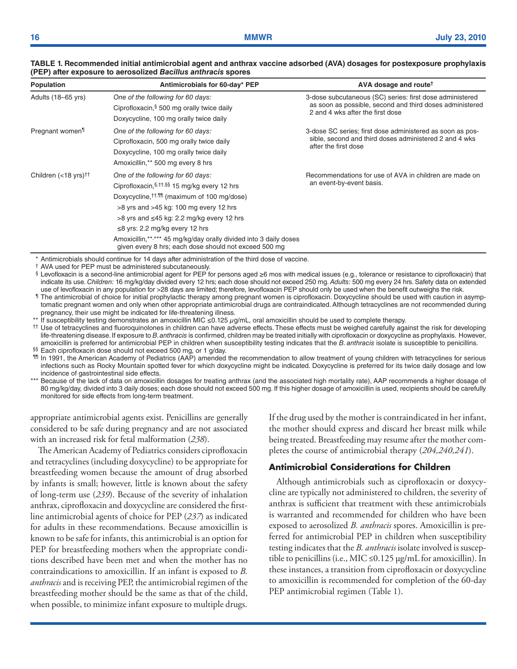| Population                                                    | Antimicrobials for 60-day* PEP                                                                                                                                                                                                                                                                                                                                                                                             | AVA dosage and route <sup>†</sup>                                                                                                                        |
|---------------------------------------------------------------|----------------------------------------------------------------------------------------------------------------------------------------------------------------------------------------------------------------------------------------------------------------------------------------------------------------------------------------------------------------------------------------------------------------------------|----------------------------------------------------------------------------------------------------------------------------------------------------------|
| Adults (18-65 yrs)                                            | One of the following for 60 days:<br>Ciprofloxacin, § 500 mg orally twice daily<br>Doxycycline, 100 mg orally twice daily                                                                                                                                                                                                                                                                                                  | 3-dose subcutaneous (SC) series: first dose administered<br>as soon as possible, second and third doses administered<br>2 and 4 wks after the first dose |
| Pregnant women <sup>1</sup>                                   | One of the following for 60 days:<br>Ciprofloxacin, 500 mg orally twice daily<br>Doxycycline, 100 mg orally twice daily<br>Amoxicillin,** 500 mg every 8 hrs                                                                                                                                                                                                                                                               | 3-dose SC series; first dose administered as soon as pos-<br>sible, second and third doses administered 2 and 4 wks<br>after the first dose              |
| Children $(<18$ yrs) <sup><math>\uparrow\uparrow</math></sup> | One of the following for 60 days:<br>Ciprofloxacin, \$, tt, \$\$ 15 mg/kg every 12 hrs<br>Doxycycline, <sup>††, ¶1</sup> (maximum of 100 mg/dose)<br>$>8$ yrs and $>45$ kg: 100 mg every 12 hrs<br>$>8$ yrs and $\leq 45$ kg: 2.2 mg/kg every 12 hrs<br>$\leq$ 8 yrs: 2.2 mg/kg every 12 hrs<br>Amoxicillin,**,*** 45 mg/kg/day orally divided into 3 daily doses<br>given every 8 hrs; each dose should not exceed 500 mg | Recommendations for use of AVA in children are made on<br>an event-by-event basis.                                                                       |

#### **TABLE 1. Recommended initial antimicrobial agent and anthrax vaccine adsorbed (AVA) dosages for postexposure prophylaxis (PEP) after exposure to aerosolized** *Bacillus anthracis* **spores**

Antimicrobials should continue for 14 days after administration of the third dose of vaccine.

† AVA used for PEP must be administered subcutaneously.

§ Levofloxacin is a second-line antimicrobial agent for PEP for persons aged ≥6 mos with medical issues (e.g., tolerance or resistance to ciprofloxacin) that indicate its use. *Children:* 16 mg/kg/day divided every 12 hrs; each dose should not exceed 250 mg. *Adults:* 500 mg every 24 hrs. Safety data on extended use of levofloxacin in any population for >28 days are limited; therefore, levofloxacin PEP should only be used when the benefit outweighs the risk.

¶ The antimicrobial of choice for initial prophylactic therapy among pregnant women is ciprofloxacin. Doxycycline should be used with caution in asymptomatic pregnant women and only when other appropriate antimicrobial drugs are contraindicated. Although tetracyclines are not recommended during pregnancy, their use might be indicated for life-threatening illness.

\*\* If susceptibility testing demonstrates an amoxicillin MIC ≤0.125 *µ*g/mL, oral amoxicillin should be used to complete therapy.

†† Use of tetracyclines and fluoroquinolones in children can have adverse effects. These effects must be weighed carefully against the risk for developing life-threatening disease. If exposure to *B. anthracis* is confirmed, children may be treated initially with ciprofloxacin or doxycycline as prophylaxis. However, amoxicillin is preferred for antimicrobial PEP in children when susceptibility testing indicates that the *B. anthracis* isolate is susceptible to penicillins.

§§ Each ciprofloxacin dose should not exceed 500 mg, or 1 g/day.

¶¶ In 1991, the American Academy of Pediatrics (AAP) amended the recommendation to allow treatment of young children with tetracyclines for serious infections such as Rocky Mountain spotted fever for which doxycycline might be indicated. Doxycycline is preferred for its twice daily dosage and low incidence of gastrointestinal side effects.

\*\*\* Because of the lack of data on amoxicillin dosages for treating anthrax (and the associated high mortality rate), AAP recommends a higher dosage of 80 mg/kg/day, divided into 3 daily doses; each dose should not exceed 500 mg. If this higher dosage of amoxicillin is used, recipients should be carefully monitored for side effects from long-term treatment.

appropriate antimicrobial agents exist. Penicillins are generally considered to be safe during pregnancy and are not associated with an increased risk for fetal malformation (*238*).

The American Academy of Pediatrics considers ciprofloxacin and tetracyclines (including doxycycline) to be appropriate for breastfeeding women because the amount of drug absorbed by infants is small; however, little is known about the safety of long-term use (*239*). Because of the severity of inhalation anthrax, ciprofloxacin and doxycycline are considered the firstline antimicrobial agents of choice for PEP (*237*) as indicated for adults in these recommendations. Because amoxicillin is known to be safe for infants, this antimicrobial is an option for PEP for breastfeeding mothers when the appropriate conditions described have been met and when the mother has no contraindications to amoxicillin. If an infant is exposed to *B. anthracis* and is receiving PEP, the antimicrobial regimen of the breastfeeding mother should be the same as that of the child, when possible, to minimize infant exposure to multiple drugs.

If the drug used by the mother is contraindicated in her infant, the mother should express and discard her breast milk while being treated. Breastfeeding may resume after the mother completes the course of antimicrobial therapy (*204,240,241*).

### **Antimicrobial Considerations for Children**

Although antimicrobials such as ciprofloxacin or doxycycline are typically not administered to children, the severity of anthrax is sufficient that treatment with these antimicrobials is warranted and recommended for children who have been exposed to aerosolized *B. anthracis* spores. Amoxicillin is preferred for antimicrobial PEP in children when susceptibility testing indicates that the *B. anthracis* isolate involved is susceptible to penicillins (i.e., MIC  $\leq 0.125$  µg/mL for amoxicillin). In these instances, a transition from ciprofloxacin or doxycycline to amoxicillin is recommended for completion of the 60-day PEP antimicrobial regimen (Table 1).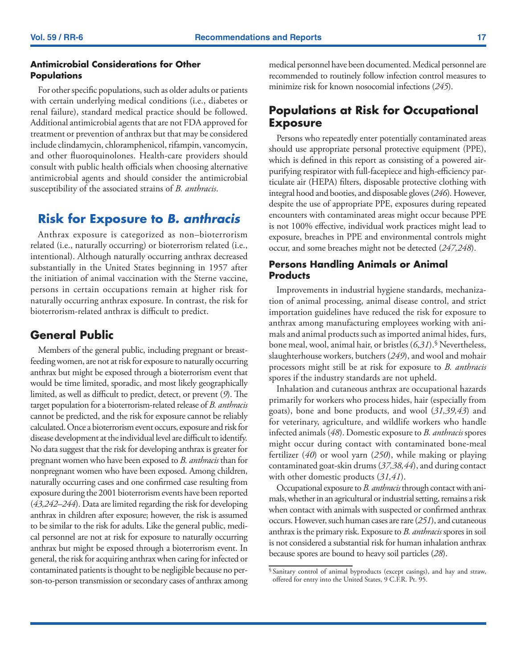### <span id="page-18-0"></span>**Antimicrobial Considerations for Other Populations**

For other specific populations, such as older adults or patients with certain underlying medical conditions (i.e., diabetes or renal failure), standard medical practice should be followed. Additional antimicrobial agents that are not FDA approved for treatment or prevention of anthrax but that may be considered include clindamycin, chloramphenicol, rifampin, vancomycin, and other fluoroquinolones. Health-care providers should consult with public health officials when choosing alternative antimicrobial agents and should consider the antimicrobial susceptibility of the associated strains of *B. anthracis*.

# **Risk for Exposure to** *B. anthracis*

Anthrax exposure is categorized as non–bioterrorism related (i.e., naturally occurring) or bioterrorism related (i.e., intentional). Although naturally occurring anthrax decreased substantially in the United States beginning in 1957 after the initiation of animal vaccination with the Sterne vaccine, persons in certain occupations remain at higher risk for naturally occurring anthrax exposure. In contrast, the risk for bioterrorism-related anthrax is difficult to predict.

# **General Public**

Members of the general public, including pregnant or breastfeeding women, are not at risk for exposure to naturally occurring anthrax but might be exposed through a bioterrorism event that would be time limited, sporadic, and most likely geographically limited, as well as difficult to predict, detect, or prevent (*9*). The target population for a bioterrorism-related release of *B. anthracis* cannot be predicted, and the risk for exposure cannot be reliably calculated. Once a bioterrorism event occurs, exposure and risk for disease development at the individual level are difficult to identify. No data suggest that the risk for developing anthrax is greater for pregnant women who have been exposed to *B. anthracis* than for nonpregnant women who have been exposed. Among children, naturally occurring cases and one confirmed case resulting from exposure during the 2001 bioterrorism events have been reported (*43,242–244*). Data are limited regarding the risk for developing anthrax in children after exposure; however, the risk is assumed to be similar to the risk for adults. Like the general public, medical personnel are not at risk for exposure to naturally occurring anthrax but might be exposed through a bioterrorism event. In general, the risk for acquiring anthrax when caring for infected or contaminated patients is thought to be negligible because no person-to-person transmission or secondary cases of anthrax among

medical personnel have been documented. Medical personnel are recommended to routinely follow infection control measures to minimize risk for known nosocomial infections (*245*).

# **Populations at Risk for Occupational Exposure**

Persons who repeatedly enter potentially contaminated areas should use appropriate personal protective equipment (PPE), which is defined in this report as consisting of a powered airpurifying respirator with full-facepiece and high-efficiency particulate air (HEPA) filters, disposable protective clothing with integral hood and booties, and disposable gloves (*246*)*.* However, despite the use of appropriate PPE, exposures during repeated encounters with contaminated areas might occur because PPE is not 100% effective, individual work practices might lead to exposure, breaches in PPE and environmental controls might occur, and some breaches might not be detected (*247,248*).

### **Persons Handling Animals or Animal Products**

Improvements in industrial hygiene standards, mechanization of animal processing, animal disease control, and strict importation guidelines have reduced the risk for exposure to anthrax among manufacturing employees working with animals and animal products such as imported animal hides, furs, bone meal, wool, animal hair, or bristles (*6,31*).§ Nevertheless, slaughterhouse workers, butchers (*249*), and wool and mohair processors might still be at risk for exposure to *B. anthracis* spores if the industry standards are not upheld.

Inhalation and cutaneous anthrax are occupational hazards primarily for workers who process hides, hair (especially from goats), bone and bone products, and wool (*31,39,43*) and for veterinary, agriculture, and wildlife workers who handle infected animals (*48*). Domestic exposure to *B. anthracis* spores might occur during contact with contaminated bone-meal fertilizer (*40*) or wool yarn (*250*), while making or playing contaminated goat-skin drums (*37,38,44*), and during contact with other domestic products (*31,41*).

Occupational exposure to *B. anthracis* through contact with animals, whether in an agricultural or industrial setting, remains a risk when contact with animals with suspected or confirmed anthrax occurs. However, such human cases are rare (*251*), and cutaneous anthrax is the primary risk. Exposure to *B. anthracis* spores in soil is not considered a substantial risk for human inhalation anthrax because spores are bound to heavy soil particles (*28*).

<sup>§</sup> Sanitary control of animal byproducts (except casings), and hay and straw, offered for entry into the United States, 9 C.F.R. Pt. 95.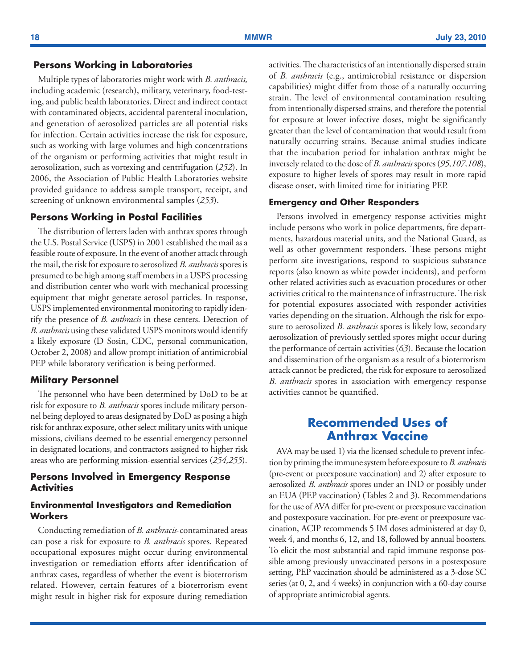### <span id="page-19-0"></span> **Persons Working in Laboratories**

Multiple types of laboratories might work with *B. anthracis,* including academic (research), military, veterinary, food-testing, and public health laboratories. Direct and indirect contact with contaminated objects, accidental parenteral inoculation, and generation of aerosolized particles are all potential risks for infection. Certain activities increase the risk for exposure, such as working with large volumes and high concentrations of the organism or performing activities that might result in aerosolization, such as vortexing and centrifugation (*252*). In 2006, the Association of Public Health Laboratories website provided guidance to address sample transport, receipt, and screening of unknown environmental samples (*253*).

#### **Persons Working in Postal Facilities**

The distribution of letters laden with anthrax spores through the U.S. Postal Service (USPS) in 2001 established the mail as a feasible route of exposure. In the event of another attack through the mail, the risk for exposure to aerosolized *B. anthracis* spores is presumed to be high among staff members in a USPS processing and distribution center who work with mechanical processing equipment that might generate aerosol particles. In response, USPS implemented environmental monitoring to rapidly identify the presence of *B. anthracis* in these centers. Detection of *B. anthracis* using these validated USPS monitors would identify a likely exposure (D Sosin, CDC, personal communication, October 2, 2008) and allow prompt initiation of antimicrobial PEP while laboratory verification is being performed.

### **Military Personnel**

The personnel who have been determined by DoD to be at risk for exposure to *B. anthracis* spores include military personnel being deployed to areas designated by DoD as posing a high risk for anthrax exposure, other select military units with unique missions, civilians deemed to be essential emergency personnel in designated locations, and contractors assigned to higher risk areas who are performing mission-essential services (*254,255*).

### **Persons Involved in Emergency Response Activities**

### **Environmental Investigators and Remediation Workers**

Conducting remediation of *B. anthracis*-contaminated areas can pose a risk for exposure to *B. anthracis* spores. Repeated occupational exposures might occur during environmental investigation or remediation efforts after identification of anthrax cases, regardless of whether the event is bioterrorism related. However, certain features of a bioterrorism event might result in higher risk for exposure during remediation activities. The characteristics of an intentionally dispersed strain of *B. anthracis* (e.g., antimicrobial resistance or dispersion capabilities) might differ from those of a naturally occurring strain. The level of environmental contamination resulting from intentionally dispersed strains, and therefore the potential for exposure at lower infective doses, might be significantly greater than the level of contamination that would result from naturally occurring strains. Because animal studies indicate that the incubation period for inhalation anthrax might be inversely related to the dose of *B. anthracis* spores (*95,107,108*), exposure to higher levels of spores may result in more rapid disease onset, with limited time for initiating PEP.

#### **Emergency and Other Responders**

Persons involved in emergency response activities might include persons who work in police departments, fire departments, hazardous material units, and the National Guard, as well as other government responders. These persons might perform site investigations, respond to suspicious substance reports (also known as white powder incidents), and perform other related activities such as evacuation procedures or other activities critical to the maintenance of infrastructure. The risk for potential exposures associated with responder activities varies depending on the situation. Although the risk for exposure to aerosolized *B. anthracis* spores is likely low, secondary aerosolization of previously settled spores might occur during the performance of certain activities (*63*). Because the location and dissemination of the organism as a result of a bioterrorism attack cannot be predicted, the risk for exposure to aerosolized *B. anthracis* spores in association with emergency response activities cannot be quantified.

# **Recommended Uses of Anthrax Vaccine**

AVA may be used 1) via the licensed schedule to prevent infection by priming the immune system before exposure to *B. anthracis* (pre-event or preexposure vaccination) and 2) after exposure to aerosolized *B. anthracis* spores under an IND or possibly under an EUA (PEP vaccination) (Tables 2 and 3). Recommendations for the use of AVA differ for pre-event or preexposure vaccination and postexposure vaccination. For pre-event or preexposure vaccination, ACIP recommends 5 IM doses administered at day 0, week 4, and months 6, 12, and 18, followed by annual boosters. To elicit the most substantial and rapid immune response possible among previously unvaccinated persons in a postexposure setting, PEP vaccination should be administered as a 3-dose SC series (at 0, 2, and 4 weeks) in conjunction with a 60-day course of appropriate antimicrobial agents.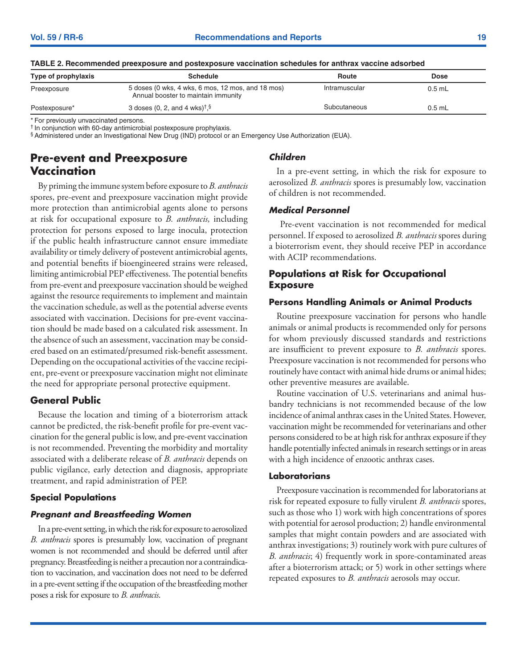| <u>INDEE 2. HOUDININGING DICONDUSTIC QUALITATION CONTINUITY SUIGNINGS IOI QHIIHAA VAUUNIC QUSULDOU</u> |                                                                                          |               |             |
|--------------------------------------------------------------------------------------------------------|------------------------------------------------------------------------------------------|---------------|-------------|
| Type of prophylaxis                                                                                    | <b>Schedule</b>                                                                          | Route         | <b>Dose</b> |
| Preexposure                                                                                            | 5 doses (0 wks, 4 wks, 6 mos, 12 mos, and 18 mos)<br>Annual booster to maintain immunity | Intramuscular | $0.5$ mL    |
| Postexposure*                                                                                          | 3 doses (0, 2, and 4 wks) <sup><math>\dagger</math></sup> . §                            | Subcutaneous  | $0.5$ mL    |
|                                                                                                        |                                                                                          |               |             |

#### <span id="page-20-0"></span>**TABLE 2. Recommended preexposure and postexposure vaccination schedules for anthrax vaccine adsorbed**

\* For previously unvaccinated persons.

† In conjunction with 60-day antimicrobial postexposure prophylaxis.

§ Administered under an Investigational New Drug (IND) protocol or an Emergency Use Authorization (EUA).

# **Pre-event and Preexposure Vaccination**

By priming the immune system before exposure to *B. anthracis*  spores, pre-event and preexposure vaccination might provide more protection than antimicrobial agents alone to persons at risk for occupational exposure to *B. anthracis,* including protection for persons exposed to large inocula, protection if the public health infrastructure cannot ensure immediate availability or timely delivery of postevent antimicrobial agents, and potential benefits if bioengineered strains were released, limiting antimicrobial PEP effectiveness. The potential benefits from pre-event and preexposure vaccination should be weighed against the resource requirements to implement and maintain the vaccination schedule, as well as the potential adverse events associated with vaccination. Decisions for pre-event vaccination should be made based on a calculated risk assessment. In the absence of such an assessment, vaccination may be considered based on an estimated/presumed risk-benefit assessment. Depending on the occupational activities of the vaccine recipient, pre-event or preexposure vaccination might not eliminate the need for appropriate personal protective equipment.

### **General Public**

Because the location and timing of a bioterrorism attack cannot be predicted, the risk-benefit profile for pre-event vaccination for the general public is low, and pre-event vaccination is not recommended. Preventing the morbidity and mortality associated with a deliberate release of *B. anthracis* depends on public vigilance, early detection and diagnosis, appropriate treatment, and rapid administration of PEP.

### **Special Populations**

### *Pregnant and Breastfeeding Women*

In a pre-event setting, in which the risk for exposure to aerosolized *B. anthracis* spores is presumably low, vaccination of pregnant women is not recommended and should be deferred until after pregnancy. Breastfeeding is neither a precaution nor a contraindication to vaccination, and vaccination does not need to be deferred in a pre-event setting if the occupation of the breastfeeding mother poses a risk for exposure to *B. anthracis*.

### *Children*

In a pre-event setting, in which the risk for exposure to aerosolized *B. anthracis* spores is presumably low, vaccination of children is not recommended.

### *Medical Personnel*

 Pre-event vaccination is not recommended for medical personnel. If exposed to aerosolized *B. anthracis* spores during a bioterrorism event, they should receive PEP in accordance with ACIP recommendations.

### **Populations at Risk for Occupational Exposure**

### **Persons Handling Animals or Animal Products**

Routine preexposure vaccination for persons who handle animals or animal products is recommended only for persons for whom previously discussed standards and restrictions are insufficient to prevent exposure to *B. anthracis* spores. Preexposure vaccination is not recommended for persons who routinely have contact with animal hide drums or animal hides; other preventive measures are available.

Routine vaccination of U.S. veterinarians and animal husbandry technicians is not recommended because of the low incidence of animal anthrax cases in the United States. However, vaccination might be recommended for veterinarians and other persons considered to be at high risk for anthrax exposure if they handle potentially infected animals in research settings or in areas with a high incidence of enzootic anthrax cases.

### **Laboratorians**

Preexposure vaccination is recommended for laboratorians at risk for repeated exposure to fully virulent *B. anthracis* spores, such as those who 1) work with high concentrations of spores with potential for aerosol production; 2) handle environmental samples that might contain powders and are associated with anthrax investigations; 3) routinely work with pure cultures of *B. anthracis*; 4) frequently work in spore-contaminated areas after a bioterrorism attack; or 5) work in other settings where repeated exposures to *B. anthracis* aerosols may occur.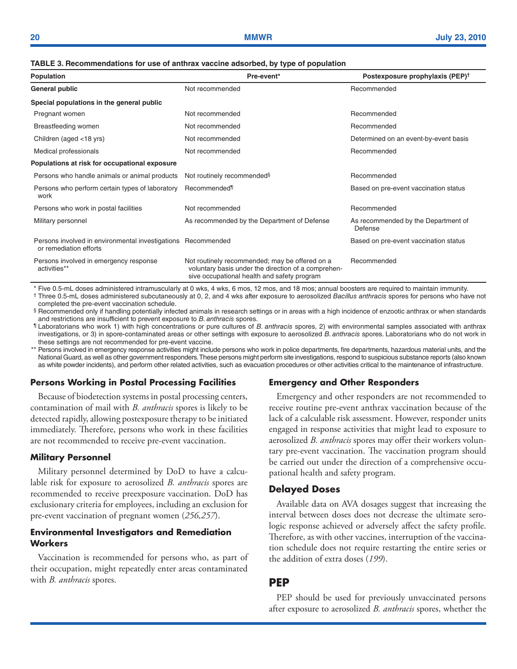#### <span id="page-21-0"></span>**TABLE 3. Recommendations for use of anthrax vaccine adsorbed, by type of population**

| Population                                                                             | Pre-event*                                                                                                                                           | Postexposure prophylaxis (PEP) <sup>†</sup>    |
|----------------------------------------------------------------------------------------|------------------------------------------------------------------------------------------------------------------------------------------------------|------------------------------------------------|
| General public                                                                         | Not recommended                                                                                                                                      | Recommended                                    |
| Special populations in the general public                                              |                                                                                                                                                      |                                                |
| Pregnant women                                                                         | Not recommended                                                                                                                                      | Recommended                                    |
| Breastfeeding women                                                                    | Not recommended                                                                                                                                      | Recommended                                    |
| Children (aged <18 yrs)                                                                | Not recommended                                                                                                                                      | Determined on an event-by-event basis          |
| Medical professionals                                                                  | Not recommended                                                                                                                                      | Recommended                                    |
| Populations at risk for occupational exposure                                          |                                                                                                                                                      |                                                |
| Persons who handle animals or animal products                                          | Not routinely recommended <sup>§</sup>                                                                                                               | Recommended                                    |
| Persons who perform certain types of laboratory<br>work                                | Recommended <sup>1</sup>                                                                                                                             | Based on pre-event vaccination status          |
| Persons who work in postal facilities                                                  | Not recommended                                                                                                                                      | Recommended                                    |
| Military personnel                                                                     | As recommended by the Department of Defense                                                                                                          | As recommended by the Department of<br>Defense |
| Persons involved in environmental investigations Recommended<br>or remediation efforts |                                                                                                                                                      | Based on pre-event vaccination status          |
| Persons involved in emergency response<br>activities**                                 | Not routinely recommended; may be offered on a<br>voluntary basis under the direction of a comprehen-<br>sive occupational health and safety program | Recommended                                    |

\* Five 0.5-mL doses administered intramuscularly at 0 wks, 4 wks, 6 mos, 12 mos, and 18 mos; annual boosters are required to maintain immunity.

† Three 0.5-mL doses administered subcutaneously at 0, 2, and 4 wks after exposure to aerosolized *Bacillus anthracis* spores for persons who have not completed the pre-event vaccination schedule.

§ Recommended only if handling potentially infected animals in research settings or in areas with a high incidence of enzootic anthrax or when standards and restrictions are insufficient to prevent exposure to *B. anthracis* spores.

¶ Laboratorians who work 1) with high concentrations or pure cultures of *B. anthracis* spores, 2) with environmental samples associated with anthrax investigations, or 3) in spore-contaminated areas or other settings with exposure to aerosolized *B. anthracis* spores. Laboratorians who do not work in these settings are not recommended for pre-event vaccine.

Persons involved in emergency response activities might include persons who work in police departments, fire departments, hazardous material units, and the National Guard, as well as other government responders. These persons might perform site investigations, respond to suspicious substance reports (also known as white powder incidents), and perform other related activities, such as evacuation procedures or other activities critical to the maintenance of infrastructure.

#### **Persons Working in Postal Processing Facilities**

Because of biodetection systems in postal processing centers, contamination of mail with *B. anthracis* spores is likely to be detected rapidly, allowing postexposure therapy to be initiated immediately. Therefore, persons who work in these facilities are not recommended to receive pre-event vaccination.

#### **Military Personnel**

Military personnel determined by DoD to have a calculable risk for exposure to aerosolized *B. anthracis* spores are recommended to receive preexposure vaccination. DoD has exclusionary criteria for employees, including an exclusion for pre-event vaccination of pregnant women (*256,257*).

#### **Environmental Investigators and Remediation Workers**

Vaccination is recommended for persons who, as part of their occupation, might repeatedly enter areas contaminated with *B. anthracis* spores.

#### **Emergency and Other Responders**

Emergency and other responders are not recommended to receive routine pre-event anthrax vaccination because of the lack of a calculable risk assessment. However, responder units engaged in response activities that might lead to exposure to aerosolized *B. anthracis* spores may offer their workers voluntary pre-event vaccination. The vaccination program should be carried out under the direction of a comprehensive occupational health and safety program.

#### **Delayed Doses**

Available data on AVA dosages suggest that increasing the interval between doses does not decrease the ultimate serologic response achieved or adversely affect the safety profile. Therefore, as with other vaccines, interruption of the vaccination schedule does not require restarting the entire series or the addition of extra doses (*199*).

#### **PEP**

PEP should be used for previously unvaccinated persons after exposure to aerosolized *B. anthracis* spores, whether the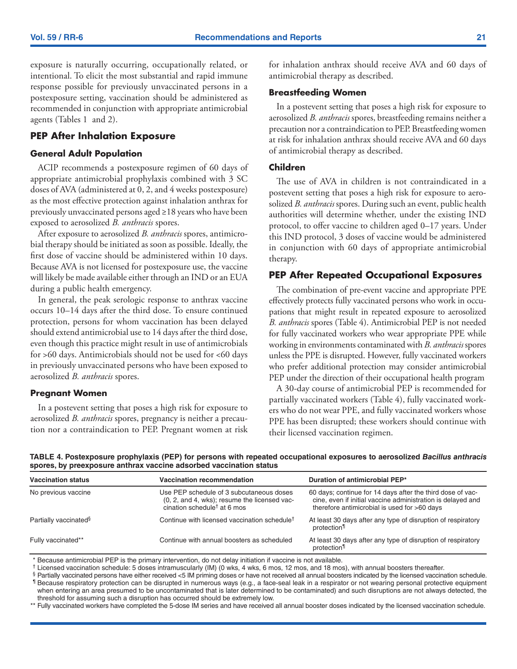exposure is naturally occurring, occupationally related, or intentional. To elicit the most substantial and rapid immune response possible for previously unvaccinated persons in a postexposure setting, vaccination should be administered as recommended in conjunction with appropriate antimicrobial agents (Tables 1 and 2).

#### **PEP After Inhalation Exposure**

#### **General Adult Population**

ACIP recommends a postexposure regimen of 60 days of appropriate antimicrobial prophylaxis combined with 3 SC doses of AVA (administered at 0, 2, and 4 weeks postexposure) as the most effective protection against inhalation anthrax for previously unvaccinated persons aged ≥18 years who have been exposed to aerosolized *B. anthracis* spores.

After exposure to aerosolized *B. anthracis* spores, antimicrobial therapy should be initiated as soon as possible. Ideally, the first dose of vaccine should be administered within 10 days. Because AVA is not licensed for postexposure use, the vaccine will likely be made available either through an IND or an EUA during a public health emergency.

In general, the peak serologic response to anthrax vaccine occurs 10–14 days after the third dose. To ensure continued protection, persons for whom vaccination has been delayed should extend antimicrobial use to 14 days after the third dose, even though this practice might result in use of antimicrobials for >60 days. Antimicrobials should not be used for <60 days in previously unvaccinated persons who have been exposed to aerosolized *B. anthracis* spores.

#### **Pregnant Women**

In a postevent setting that poses a high risk for exposure to aerosolized *B. anthracis* spores, pregnancy is neither a precaution nor a contraindication to PEP. Pregnant women at risk for inhalation anthrax should receive AVA and 60 days of antimicrobial therapy as described.

#### **Breastfeeding Women**

In a postevent setting that poses a high risk for exposure to aerosolized *B. anthracis* spores, breastfeeding remains neither a precaution nor a contraindication to PEP. Breastfeeding women at risk for inhalation anthrax should receive AVA and 60 days of antimicrobial therapy as described.

### **Children**

The use of AVA in children is not contraindicated in a postevent setting that poses a high risk for exposure to aerosolized *B. anthracis* spores. During such an event, public health authorities will determine whether, under the existing IND protocol, to offer vaccine to children aged 0–17 years. Under this IND protocol, 3 doses of vaccine would be administered in conjunction with 60 days of appropriate antimicrobial therapy.

#### **PEP After Repeated Occupational Exposures**

The combination of pre-event vaccine and appropriate PPE effectively protects fully vaccinated persons who work in occupations that might result in repeated exposure to aerosolized *B. anthracis* spores (Table 4). Antimicrobial PEP is not needed for fully vaccinated workers who wear appropriate PPE while working in environments contaminated with *B. anthracis* spores unless the PPE is disrupted. However, fully vaccinated workers who prefer additional protection may consider antimicrobial PEP under the direction of their occupational health program

A 30-day course of antimicrobial PEP is recommended for partially vaccinated workers (Table 4), fully vaccinated workers who do not wear PPE, and fully vaccinated workers whose PPE has been disrupted; these workers should continue with their licensed vaccination regimen.

**TABLE 4. Postexposure prophylaxis (PEP) for persons with repeated occupational exposures to aerosolized** *Bacillus anthracis* **spores, by preexposure anthrax vaccine adsorbed vaccination status**

| <b>Vaccination status</b>         | <b>Vaccination recommendation</b>                                                                                                   | Duration of antimicrobial PEP*                                                                                                                                            |
|-----------------------------------|-------------------------------------------------------------------------------------------------------------------------------------|---------------------------------------------------------------------------------------------------------------------------------------------------------------------------|
| No previous vaccine               | Use PEP schedule of 3 subcutaneous doses<br>(0, 2, and 4, wks); resume the licensed vac-<br>cination schedule <sup>†</sup> at 6 mos | 60 days; continue for 14 days after the third dose of vac-<br>cine, even if initial vaccine administration is delayed and<br>therefore antimicrobial is used for >60 days |
| Partially vaccinated <sup>§</sup> | Continue with licensed vaccination schedule <sup>†</sup>                                                                            | At least 30 days after any type of disruption of respiratory<br>protection <sup>1</sup>                                                                                   |
| Fully vaccinated**                | Continue with annual boosters as scheduled                                                                                          | At least 30 days after any type of disruption of respiratory<br>protection <sup>1</sup>                                                                                   |

\* Because antimicrobial PEP is the primary intervention, do not delay initiation if vaccine is not available.

† Licensed vaccination schedule: 5 doses intramuscularly (IM) (0 wks, 4 wks, 6 mos, 12 mos, and 18 mos), with annual boosters thereafter.

§ Partially vaccinated persons have either received <5 IM priming doses or have not received all annual boosters indicated by the licensed vaccination schedule. ¶ Because respiratory protection can be disrupted in numerous ways (e.g., a face-seal leak in a respirator or not wearing personal protective equipment when entering an area presumed to be uncontaminated that is later determined to be contaminated) and such disruptions are not always detected, the threshold for assuming such a disruption has occurred should be extremely low.

\*\* Fully vaccinated workers have completed the 5-dose IM series and have received all annual booster doses indicated by the licensed vaccination schedule.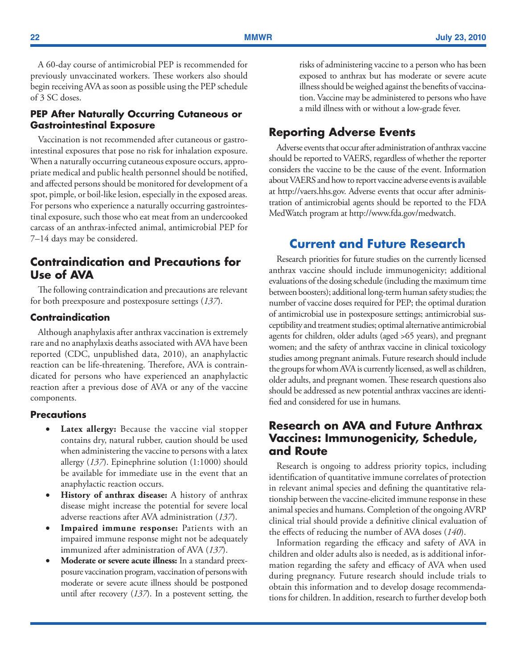<span id="page-23-0"></span>A 60-day course of antimicrobial PEP is recommended for previously unvaccinated workers. These workers also should begin receiving AVA as soon as possible using the PEP schedule of 3 SC doses.

### **PEP After Naturally Occurring Cutaneous or Gastrointestinal Exposure**

Vaccination is not recommended after cutaneous or gastrointestinal exposures that pose no risk for inhalation exposure. When a naturally occurring cutaneous exposure occurs, appropriate medical and public health personnel should be notified, and affected persons should be monitored for development of a spot, pimple, or boil-like lesion, especially in the exposed areas. For persons who experience a naturally occurring gastrointestinal exposure, such those who eat meat from an undercooked carcass of an anthrax-infected animal, antimicrobial PEP for 7–14 days may be considered.

# **Contraindication and Precautions for Use of AVA**

The following contraindication and precautions are relevant for both preexposure and postexposure settings (*137*).

### **Contraindication**

Although anaphylaxis after anthrax vaccination is extremely rare and no anaphylaxis deaths associated with AVA have been reported (CDC, unpublished data, 2010), an anaphylactic reaction can be life-threatening. Therefore, AVA is contraindicated for persons who have experienced an anaphylactic reaction after a previous dose of AVA or any of the vaccine components.

#### **Precautions**

- **Latex allergy:** Because the vaccine vial stopper contains dry, natural rubber, caution should be used when administering the vaccine to persons with a latex allergy (*137*). Epinephrine solution (1:1000) should be available for immediate use in the event that an anaphylactic reaction occurs.
- **History of anthrax disease:** A history of anthrax disease might increase the potential for severe local adverse reactions after AVA administration (*137*).
- **Impaired immune response:** Patients with an impaired immune response might not be adequately immunized after administration of AVA (*137*).
- **Moderate or severe acute illness:** In a standard preexposure vaccination program, vaccination of persons with moderate or severe acute illness should be postponed until after recovery (*137*). In a postevent setting, the

risks of administering vaccine to a person who has been exposed to anthrax but has moderate or severe acute illness should be weighed against the benefits of vaccination. Vaccine may be administered to persons who have a mild illness with or without a low-grade fever.

# **Reporting Adverse Events**

Adverse events that occur after administration of anthrax vaccine should be reported to VAERS, regardless of whether the reporter considers the vaccine to be the cause of the event. Information about VAERS and how to report vaccine adverse events is available at [http://vaers.hhs.gov.](http://vaers.hhs.gov) Adverse events that occur after administration of antimicrobial agents should be reported to the FDA MedWatch program at [http://www.fda.gov/medwatch.](http://www.fda.gov/medwatch)

# **Current and Future Research**

Research priorities for future studies on the currently licensed anthrax vaccine should include immunogenicity; additional evaluations of the dosing schedule (including the maximum time between boosters); additional long-term human safety studies; the number of vaccine doses required for PEP; the optimal duration of antimicrobial use in postexposure settings; antimicrobial susceptibility and treatment studies; optimal alternative antimicrobial agents for children, older adults (aged >65 years), and pregnant women; and the safety of anthrax vaccine in clinical toxicology studies among pregnant animals. Future research should include the groups for whom AVA is currently licensed, as well as children, older adults, and pregnant women. These research questions also should be addressed as new potential anthrax vaccines are identified and considered for use in humans.

# **Research on AVA and Future Anthrax Vaccines: Immunogenicity, Schedule, and Route**

Research is ongoing to address priority topics, including identification of quantitative immune correlates of protection in relevant animal species and defining the quantitative relationship between the vaccine-elicited immune response in these animal species and humans. Completion of the ongoing AVRP clinical trial should provide a definitive clinical evaluation of the effects of reducing the number of AVA doses (*140*).

Information regarding the efficacy and safety of AVA in children and older adults also is needed, as is additional information regarding the safety and efficacy of AVA when used during pregnancy. Future research should include trials to obtain this information and to develop dosage recommendations for children. In addition, research to further develop both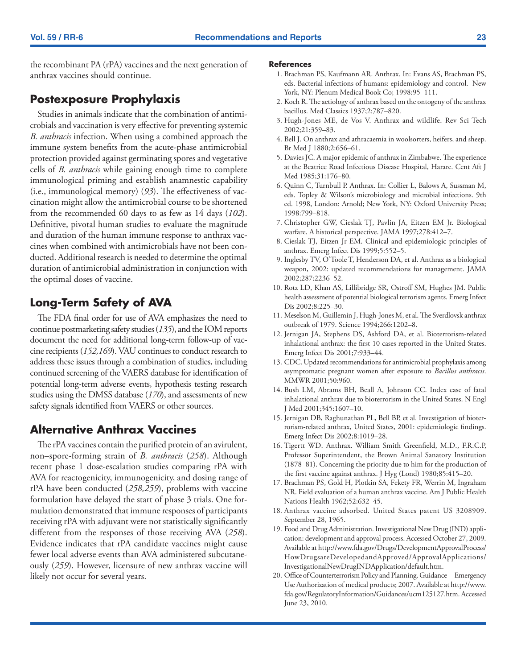<span id="page-24-0"></span>the recombinant PA (rPA) vaccines and the next generation of anthrax vaccines should continue.

# **Postexposure Prophylaxis**

Studies in animals indicate that the combination of antimicrobials and vaccination is very effective for preventing systemic *B. anthracis* infection. When using a combined approach the immune system benefits from the acute-phase antimicrobial protection provided against germinating spores and vegetative cells of *B. anthracis* while gaining enough time to complete immunological priming and establish anamnestic capability (i.e., immunological memory) (*93*). The effectiveness of vaccination might allow the antimicrobial course to be shortened from the recommended 60 days to as few as 14 days (*102*). Definitive, pivotal human studies to evaluate the magnitude and duration of the human immune response to anthrax vaccines when combined with antimicrobials have not been conducted. Additional research is needed to determine the optimal duration of antimicrobial administration in conjunction with the optimal doses of vaccine.

# **Long-Term Safety of AVA**

The FDA final order for use of AVA emphasizes the need to continue postmarketing safety studies (*135*), and the IOM reports document the need for additional long-term follow-up of vaccine recipients (*152,169*). VAU continues to conduct research to address these issues through a combination of studies, including continued screening of the VAERS database for identification of potential long-term adverse events, hypothesis testing research studies using the DMSS database (*170*), and assessments of new safety signals identified from VAERS or other sources.

# **Alternative Anthrax Vaccines**

The rPA vaccines contain the purified protein of an avirulent, non–spore-forming strain of *B. anthracis* (*258*). Although recent phase 1 dose-escalation studies comparing rPA with AVA for reactogenicity, immunogenicity, and dosing range of rPA have been conducted (*258,259*), problems with vaccine formulation have delayed the start of phase 3 trials. One formulation demonstrated that immune responses of participants receiving rPA with adjuvant were not statistically significantly different from the responses of those receiving AVA (*258*). Evidence indicates that rPA candidate vaccines might cause fewer local adverse events than AVA administered subcutaneously (*259*). However, licensure of new anthrax vaccine will likely not occur for several years.

#### **References**

- 1. Brachman PS, Kaufmann AR. Anthrax. In: Evans AS, Brachman PS, eds. Bacterial infections of humans: epidemiology and control. New York, NY: Plenum Medical Book Co; 1998:95–111.
- 2. Koch R. The aetiology of anthrax based on the ontogeny of the anthrax bacillus. Med Classics 1937;2:787–820.
- 3. Hugh-Jones ME, de Vos V. Anthrax and wildlife. Rev Sci Tech 2002;21:359–83.
- 4. Bell J. On anthrax and athracaemia in woolsorters, heifers, and sheep. Br Med J 1880;2:656–61.
- 5. Davies JC. A major epidemic of anthrax in Zimbabwe. The experience at the Beatrice Road Infectious Disease Hospital, Harare. Cent Aft J Med 1985;31:176–80.
- 6. Quinn C, Turnbull P. Anthrax. In: Collier L, Balows A, Sussman M, eds. Topley & Wilson's microbiology and microbial infections. 9th ed. 1998, London: Arnold; New York, NY: Oxford University Press; 1998:799–818.
- 7. Christopher GW, Cieslak TJ, Pavlin JA, Eitzen EM Jr. Biological warfare. A historical perspective. JAMA 1997;278:412–7.
- 8. Cieslak TJ, Eitzen Jr EM. Clinical and epidemiologic principles of anthrax. Emerg Infect Dis 1999;5:552–5.
- 9. Inglesby TV, O'Toole T, Henderson DA, et al. Anthrax as a biological weapon, 2002: updated recommendations for management. JAMA 2002;287:2236–52.
- 10. Rotz LD, Khan AS, Lillibridge SR, Ostroff SM, Hughes JM. Public health assessment of potential biological terrorism agents. Emerg Infect Dis 2002;8:225–30.
- 11. Meselson M, Guillemin J, Hugh-Jones M, et al. The Sverdlovsk anthrax outbreak of 1979. Science 1994;266:1202–8.
- 12. Jernigan JA, Stephens DS, Ashford DA, et al. Bioterrorism-related inhalational anthrax: the first 10 cases reported in the United States. Emerg Infect Dis 2001;7:933–44.
- 13. CDC. Updated recommendations for antimicrobial prophylaxis among asymptomatic pregnant women after exposure to *Bacillus anthracis*. MMWR 2001;50:960.
- 14. Bush LM, Abrams BH, Beall A, Johnson CC. Index case of fatal inhalational anthrax due to bioterrorism in the United States. N Engl J Med 2001;345:1607–10.
- 15. Jernigan DB, Raghunathan PL, Bell BP, et al. Investigation of bioterrorism-related anthrax, United States, 2001: epidemiologic findings. Emerg Infect Dis 2002;8:1019–28.
- 16. Tigertt WD. Anthrax. William Smith Greenfield, M.D., F.R.C.P, Professor Superintendent, the Brown Animal Sanatory Institution (1878–81). Concerning the priority due to him for the production of the first vaccine against anthrax. J Hyg (Lond) 1980;85:415–20.
- 17. Brachman PS, Gold H, Plotkin SA, Fekety FR, Werrin M, Ingraham NR. Field evaluation of a human anthrax vaccine. Am J Public Health Nations Health 1962;52:632–45.
- 18. Anthrax vaccine adsorbed. United States patent US 3208909. September 28, 1965.
- 19. Food and Drug Administration. Investigational New Drug (IND) application: development and approval process. Accessed October 27, 2009. Available at [http://www.fda.gov/Drugs/DevelopmentApprovalProcess/](http://www.fda.gov/Drugs/DevelopmentApprovalProcess/HowDrugsareDevelopedandApproved/ApprovalApplications/InvestigationalNewDrugINDApplication/default.htm) [HowDrugsareDevelopedandApproved/ApprovalApplications/](http://www.fda.gov/Drugs/DevelopmentApprovalProcess/HowDrugsareDevelopedandApproved/ApprovalApplications/InvestigationalNewDrugINDApplication/default.htm) [InvestigationalNewDrugINDApplication/default.htm.](http://www.fda.gov/Drugs/DevelopmentApprovalProcess/HowDrugsareDevelopedandApproved/ApprovalApplications/InvestigationalNewDrugINDApplication/default.htm)
- 20. Office of Counterterrorism Policy and Planning. Guidance—Emergency Use Authorization of medical products; 2007. Available at [http://www.](http://www.fda.gov/RegulatoryInformation/Guidances/ucm125127.htm) [fda.gov/RegulatoryInformation/Guidances/ucm125127.htm.](http://www.fda.gov/RegulatoryInformation/Guidances/ucm125127.htm) Accessed June 23, 2010.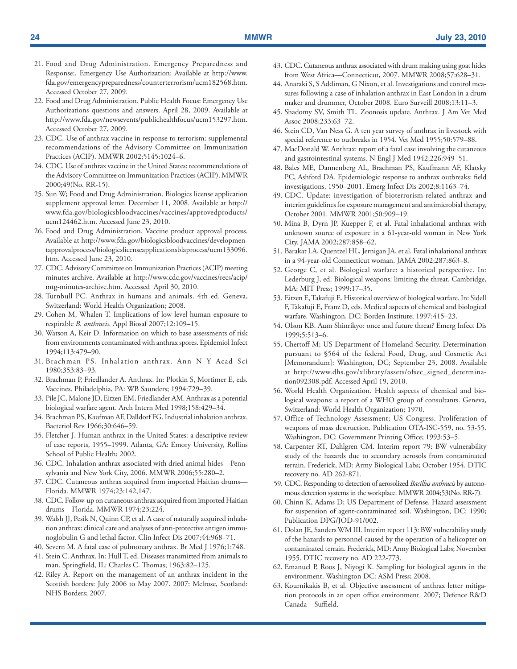- 21. Food and Drug Administration. Emergency Preparedness and Response:. Emergency Use Authorization: Available at [http://www.](http://www.fda.gov/emergencypreparedness/counterterrorism/ucm182568.htm) [fda.gov/emergencypreparedness/counterterrorism/ucm182568.htm](http://www.fda.gov/emergencypreparedness/counterterrorism/ucm182568.htm). Accessed October 27, 2009.
- 22. Food and Drug Administration. Public Health Focus: Emergency Use Authorizations questions and answers. April 28, 2009. Available at <http://www.fda.gov/newsevents/publichealthfocus/ucm153297.htm>. Accessed October 27, 2009.
- 23. CDC. Use of anthrax vaccine in response to terrorism: supplemental recommendations of the Advisory Committee on Immunization Practices (ACIP). MMWR 2002;5145:1024–6.
- 24. CDC. Use of anthrax vaccine in the United States: recommendations of the Advisory Committee on Immunization Practices (ACIP). MMWR 2000;49(No. RR-15).
- 25. Sun W; Food and Drug Administration. Biologics license application supplement approval letter. December 11, 2008. Available at [http://](http://www.fda.gov/biologicsbloodvaccines/vaccines/approvedproducts/ucm124462.htm) [www.fda.gov/biologicsbloodvaccines/vaccines/approvedproducts/](http://www.fda.gov/biologicsbloodvaccines/vaccines/approvedproducts/ucm124462.htm) [ucm124462.htm](http://www.fda.gov/biologicsbloodvaccines/vaccines/approvedproducts/ucm124462.htm). Accessed June 23, 2010.
- 26. Food and Drug Administration. Vaccine product approval process. Available at [http://www.fda.gov/biologicsbloodvaccines/developmen](http://www.fda.gov/biologicsbloodvaccines/developmentapprovalprocess/biologicslicenseapplicationsblaprocess/ucm133096.htm)[tapprovalprocess/biologicslicenseapplicationsblaprocess/ucm133096.](http://www.fda.gov/biologicsbloodvaccines/developmentapprovalprocess/biologicslicenseapplicationsblaprocess/ucm133096.htm) [htm](http://www.fda.gov/biologicsbloodvaccines/developmentapprovalprocess/biologicslicenseapplicationsblaprocess/ucm133096.htm). Accessed June 23, 2010.
- 27. CDC. Advisory Committee on Immunization Practices (ACIP) meeting minutes archive. Available at [http://www.cdc.gov/vaccines/recs/acip/](http://www.cdc.gov/vaccines/recs/acip/mtg-minutes-archive.htm) [mtg-minutes-archive.htm.](http://www.cdc.gov/vaccines/recs/acip/mtg-minutes-archive.htm) Accessed April 30, 2010.
- 28. Turnbull PC. Anthrax in humans and animals. 4th ed. Geneva, Switzerland: World Health Organization; 2008.
- 29. Cohen M, Whalen T. Implications of low level human exposure to respirable *B. anthracis.* Appl Biosaf 2007;12:109–15.
- 30. Watson A, Keir D. Information on which to base assessments of risk from environments contaminated with anthrax spores. Epidemiol Infect 1994;113:479–90.
- 31. Brachman PS. Inhalation anthrax. Ann N Y Acad Sci 1980;353:83–93.
- 32. Brachman P, Friedlander A. Anthrax. In: Plotkin S, Mortimer E, eds. Vaccines. Philadelphia, PA: WB Saunders; 1994:729–39.
- 33. Pile JC, Malone JD, Eitzen EM, Friedlander AM. Anthrax as a potential biological warfare agent. Arch Intern Med 1998;158:429–34.
- 34. Brachman PS, Kaufman AF, Dalldorf FG. Industrial inhalation anthrax. Bacteriol Rev 1966;30:646–59.
- 35. Fletcher J. Human anthrax in the United States: a descriptive review of case reports, 1955–1999. Atlanta, GA: Emory University, Rollins School of Public Health; 2002.
- 36. CDC. Inhalation anthrax associated with dried animal hides—Pennsylvania and New York City, 2006. MMWR 2006;55:280–2.
- 37. CDC. Cutaneous anthrax acquired from imported Haitian drums— Florida. MMWR 1974;23:142,147.
- 38. CDC. Follow-up on cutaneous anthrax acquired from imported Haitian drums—Florida. MMWR 1974;23:224.
- 39. Walsh JJ, Pesik N, Quinn CP, et al. A case of naturally acquired inhalation anthrax: clinical care and analyses of anti-protective antigen immunoglobulin G and lethal factor. Clin Infect Dis 2007;44:968–71.
- 40. Severn M. A fatal case of pulmonary anthrax. Br Med J 1976;1:748.
- 41. Stein C. Anthrax. In: Hull T, ed. Diseases transmitted from animals to man. Springfield, IL: Charles C. Thomas; 1963:82–125.
- 42. Riley A. Report on the management of an anthrax incident in the Scottish borders: July 2006 to May 2007. 2007: Melrose, Scotland: NHS Borders; 2007.
- 43. CDC. Cutaneous anthrax associated with drum making using goat hides from West Africa—Connecticut, 2007. MMWR 2008;57:628–31.
- 44. Anaraki S, S Addiman, G Nixon, et al. Investigations and control measures following a case of inhalation anthrax in East London in a drum maker and drummer, October 2008. Euro Surveill 2008;13:11–3.
- 45. Shadomy SV, Smith TL. Zoonosis update. Anthrax. J Am Vet Med Assoc 2008;233:63–72.
- 46. Stein CD, Van Ness G. A ten year survey of anthrax in livestock with special reference to outbreaks in 1954. Vet Med 1955;50:579–88.
- 47. MacDonald W. Anthrax: report of a fatal case involving the cutaneous and gastrointestinal systems. N Engl J Med 1942;226:949–51.
- 48. Bales ME, Dannenberg AL, Brachman PS, Kaufmann AF, Klatsky PC, Ashford DA. Epidemiologic response to anthrax outbreaks: field investigations, 1950–2001. Emerg Infect Dis 2002;8:1163–74.
- 49. CDC. Update: investigation of bioterrorism-related anthrax and interim guidelines for exposure management and antimicrobial therapy, October 2001. MMWR 2001;50:909–19.
- 50. Mina B, Dyrn JP, Kuepper F, et al. Fatal inhalational anthrax with unknown source of exposure in a 61-year-old woman in New York City. JAMA 2002;287:858–62.
- 51. Barakat LA, Quentzel HL, Jernigan JA, et al. Fatal inhalational anthrax in a 94-year-old Connecticut woman. JAMA 2002;287:863–8.
- 52. George C, et al. Biological warfare: a historical perspective. In: Lederburg J, ed. Biological weapons: limiting the threat. Cambridge, MA: MIT Press; 1999:17–35.
- 53. Eitzen E, Takafuji E. Historical overview of biological warfare. In: Sidell F, Takafuji E, Franz D, eds. Medical aspects of chemical and biological warfare. Washington, DC: Borden Institute; 1997:415–23.
- 54. Olson KB. Aum Shinrikyo: once and future threat? Emerg Infect Dis 1999;5:513–6.
- 55. Chertoff M; US Department of Homeland Security. Determination pursuant to §564 of the federal Food, Drug, and Cosmetic Act [Memorandum]: Washington, DC; September 23, 2008. Available at [http://www.dhs.gov/xlibrary/assets/ofsec\\_signed\\_determina](http://www.dhs.gov/xlibrary/assets/ofsec_signed_determination092308.pdf)[tion092308.pdf](http://www.dhs.gov/xlibrary/assets/ofsec_signed_determination092308.pdf). Accessed April 19, 2010.
- 56. World Health Organization. Health aspects of chemical and biological weapons: a report of a WHO group of consultants. Geneva, Switzerland: World Health Organization; 1970.
- 57. Office of Technology Assessment; US Congress. Proliferation of weapons of mass destruction. Publication OTA-ISC-559, no. 53-55. Washington, DC: Government Printing Office; 1993:53–5.
- 58. Carpenter RT, Dahlgren CM. Interim report 79: BW vulnerability study of the hazards due to secondary aerosols from contaminated terrain. Frederick, MD: Army Biological Labs; October 1954. DTIC recovery no. AD 262-871.
- 59. CDC. Responding to detection of aerosolized *Bacillus anthracis* by autonomous detection systems in the workplace. MMWR 2004;53(No. RR-7).
- 60. Chinn K, Adams D; US Department of Defense. Hazard assessment for suspension of agent-contaminated soil. Washington, DC: 1990; Publication DPG/JOD-91/002.
- 61. Dolan JE, Sanders WM III. Interim report 113: BW vulnerability study of the hazards to personnel caused by the operation of a helicopter on contaminated terrain. Frederick, MD: Army Biological Labs; November 1955. DTIC recovery no. AD 222-773.
- 62. Emanuel P, Roos J, Niyogi K. Sampling for biological agents in the environment. Washington DC: ASM Press; 2008.
- 63. Kournikakis B, et al. Objective assessment of anthrax letter mitigation protocols in an open office environment. 2007; Defence R&D Canada—Suffield.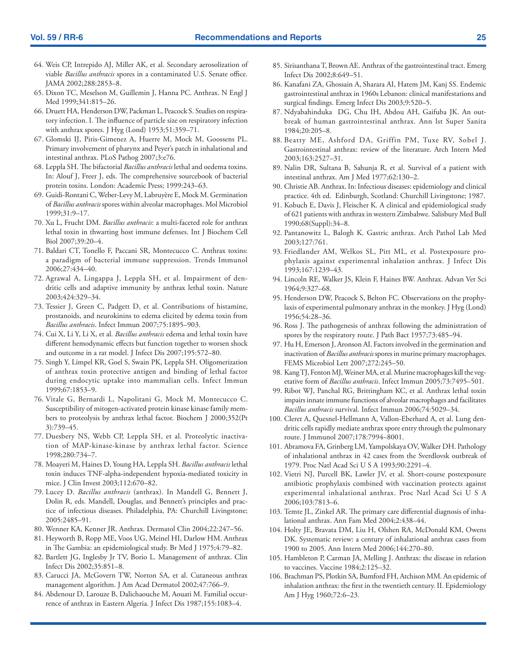- 64. Weis CP, Intrepido AJ, Miller AK, et al. Secondary aerosolization of viable *Bacillus anthracis* spores in a contaminated U.S. Senate office. JAMA 2002;288:2853–8.
- 65. Dixon TC, Meselson M, Guillemin J, Hanna PC. Anthrax. N Engl J Med 1999;341:815–26.
- 66. Druett HA, Henderson DW, Packman L, Peacock S. Studies on respiratory infection. I. The influence of particle size on respiratory infection with anthrax spores. J Hyg (Lond) 1953;51:359–71.
- 67. Glomski IJ, Piris-Gimenez A, Huerre M, Mock M, Goossens PL. Primary involvement of pharynx and Peyer's patch in inhalational and intestinal anthrax. PLoS Pathog 2007;3:e76.
- 68. Leppla SH. The bifactorial *Bacillus anthracis* lethal and oedema toxins. In: Alouf J, Freer J, eds. The comprehensive sourcebook of bacterial protein toxins. London: Academic Press; 1999:243–63.
- 69. Guidi-Rontani C, Weber-Levy M, Labruyère E, Mock M. Germination of *Bacillus anthracis* spores within alveolar macrophages. Mol Microbiol 1999;31:9–17.
- 70. Xu L, Frucht DM. *Bacillus anthracis*: a multi-faceted role for anthrax lethal toxin in thwarting host immune defenses. Int J Biochem Cell Biol 2007;39:20–4.
- 71. Baldari CT, Tonello F, Paccani SR, Montecucco C. Anthrax toxins: a paradigm of bacterial immune suppression. Trends Immunol 2006;27:434–40.
- 72. Agrawal A, Lingappa J, Leppla SH, et al. Impairment of dendritic cells and adaptive immunity by anthrax lethal toxin. Nature 2003;424:329–34.
- 73. Tessier J, Green C, Padgett D, et al. Contributions of histamine, prostanoids, and neurokinins to edema elicited by edema toxin from *Bacillus anthracis*. Infect Immun 2007;75:1895–903.
- 74. Cui X, Li Y, Li X, et al. *Bacillus anthracis* edema and lethal toxin have different hemodynamic effects but function together to worsen shock and outcome in a rat model. J Infect Dis 2007;195:572–80.
- 75. Singh Y, Limpel KR, Goel S, Swain PK, Leppla SH. Oligomerization of anthrax toxin protective antigen and binding of lethal factor during endocytic uptake into mammalian cells. Infect Immun 1999;67:1853–9.
- 76. Vitale G, Bernardi L, Napolitani G, Mock M, Montecucco C. Susceptibility of mitogen-activated protein kinase kinase family members to proteolysis by anthrax lethal factor. Biochem J 2000;352(Pt 3):739–45.
- 77. Duesbery NS, Webb CP, Leppla SH, et al. Proteolytic inactivation of MAP-kinase-kinase by anthrax lethal factor. Science 1998;280:734–7.
- 78. Moayeri M, Haines D, Young HA, Leppla SH. *Bacillus anthracis* lethal toxin induces TNF-alpha-independent hypoxia-mediated toxicity in mice. J Clin Invest 2003;112:670–82.
- 79. Lucey D. *Bacillus anthracis* (anthrax). In Mandell G, Bennett J, Dolin R, eds. Mandell, Douglas, and Bennett's principles and practice of infectious diseases. Philadelphia, PA: Churchill Livingstone; 2005:2485–91.
- 80. Wenner KA, Kenner JR. Anthrax. Dermatol Clin 2004;22:247–56.
- 81. Heyworth B, Ropp ME, Voos UG, Meinel HI, Darlow HM. Anthrax in The Gambia: an epidemiological study. Br Med J 1975;4:79–82.
- 82. Bartlett JG, Inglesby Jr TV, Borio L. Management of anthrax. Clin Infect Dis 2002;35:851–8.
- 83. Carucci JA, McGovern TW, Norton SA, et al. Cutaneous anthrax management algorithm. J Am Acad Dermatol 2002;47:766–9.
- 84. Abdenour D, Larouze B, Dalichaouche M, Aouati M. Familial occurrence of anthrax in Eastern Algeria. J Infect Dis 1987;155:1083–4.
- 85. Sirisanthana T, Brown AE. Anthrax of the gastrointestinal tract. Emerg Infect Dis 2002;8:649–51.
- 86. Kanafani ZA, Ghossain A, Sharara AI, Hatem JM, Kanj SS. Endemic gastrointestinal anthrax in 1960s Lebanon: clinical manifestations and surgical findings. Emerg Infect Dis 2003;9:520–5.
- 87. Ndyabahinduka DG, Chu IH, Abdou AH, Gaifuba JK. An outbreak of human gastrointestinal anthrax. Ann lst Super Sanita 1984;20:205–8.
- 88. Beatty ME, Ashford DA, Griffin PM, Tuxe RV, Sobel J. Gastrointestinal anthrax: review of the literature. Arch Intern Med 2003;163:2527–31.
- 89. Nalin DR, Sultana B, Sahunja R, et al. Survival of a patient with intestinal anthrax. Am J Med 1977;62:130–2.
- 90. Christie AB. Anthrax. In: Infectious diseases: epidemiology and clinical practice. 4th ed. Edinburgh, Scotland: Churchill Livingstone; 1987.
- 91. Kobuch E, Davis J, Fleischer K. A clinical and epidemiological study of 621 patients with anthrax in western Zimbabwe. Salisbury Med Bull 1990;68(Suppl):34–8.
- 92. Pantanowitz L, Balogh K. Gastric anthrax. Arch Pathol Lab Med 2003;127:761.
- 93. Friedlander AM, Welkos SL, Pitt ML, et al. Postexposure prophylaxis against experimental inhalation anthrax. J Infect Dis 1993;167:1239–43.
- 94. Lincoln RE, Walker JS, Klein F, Haines BW. Anthrax. Advan Vet Sci 1964;9:327–68.
- 95. Henderson DW, Peacock S, Belton FC. Observations on the prophylaxis of experimental pulmonary anthrax in the monkey. J Hyg (Lond) 1956;54:28–36.
- 96. Ross J. The pathogenesis of anthrax following the administration of spores by the respiratory route. J Path Bact 1957;73:485–94.
- 97. Hu H, Emerson J, Aronson AI. Factors involved in the germination and inactivation of *Bacillus anthracis* spores in murine primary macrophages. FEMS Microbiol Lett 2007;272:245–50.
- 98. Kang TJ, Fenton MJ, Weiner MA, et al. Murine macrophages kill the vegetative form of *Bacillus anthracis*. Infect Immun 2005;73:7495–501.
- 99. Ribot WJ, Panchal RG, Brittingham KC, et al. Anthrax lethal toxin impairs innate immune functions of alveolar macrophages and facilitates *Bacillus anthracis* survival. Infect Immun 2006;74:5029–34.
- 100. Cleret A, Quesnel-Hellmann A, Vallon-Eberhard A, et al. Lung dendritic cells rapidly mediate anthrax spore entry through the pulmonary route. J Immunol 2007;178:7994–8001.
- 101. Abramova FA, Grinberg LM, Yampolskaya OV, Walker DH. Pathology of inhalational anthrax in 42 cases from the Sverdlovsk outbreak of 1979. Proc Natl Acad Sci U S A 1993;90:2291–4.
- 102. Vietri NJ, Purcell BK, Lawler JV, et al. Short-course postexposure antibiotic prophylaxis combined with vaccination protects against experimental inhalational anthrax. Proc Natl Acad Sci U S A 2006;103:7813–6.
- 103. Temte JL, Zinkel AR. The primary care differential diagnosis of inhalational anthrax. Ann Fam Med 2004;2:438–44.
- 104. Holty JE, Bravata DM, Liu H, Olshen RA, McDonald KM, Owens DK. Systematic review: a century of inhalational anthrax cases from 1900 to 2005. Ann Intern Med 2006;144:270–80.
- 105. Hambleton P, Carman JA, Melling J. Anthrax: the disease in relation to vaccines. Vaccine 1984;2:125–32.
- 106. Brachman PS, Plotkin SA, Bumford FH, Atchison MM. An epidemic of inhalation anthrax: the first in the twentieth century. II. Epidemiology Am J Hyg 1960;72:6–23.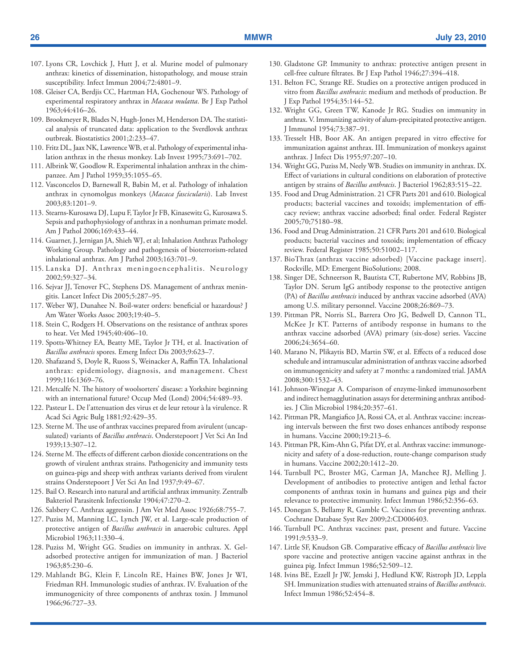- 107. Lyons CR, Lovchick J, Hutt J, et al. Murine model of pulmonary anthrax: kinetics of dissemination, histopathology, and mouse strain susceptibility. Infect Immun 2004;72:4801–9.
- 108. Gleiser CA, Berdjis CC, Hartman HA, Gochenour WS. Pathology of experimental respiratory anthrax in *Macaca mulatta*. Br J Exp Pathol 1963;44:416–26.
- 109. Brookmeyer R, Blades N, Hugh-Jones M, Henderson DA. The statistical analysis of truncated data: application to the Sverdlovsk anthrax outbreak. Biostatistics 2001;2:233–47.
- 110. Fritz DL, Jaax NK, Lawrence WB, et al. Pathology of experimental inhalation anthrax in the rhesus monkey. Lab Invest 1995;73:691–702.
- 111. Albrink W, Goodlow R. Experimental inhalation anthrax in the chimpanzee. Am J Pathol 1959;35:1055–65.
- 112. Vasconcelos D, Barnewall R, Babin M, et al. Pathology of inhalation anthrax in cynomolgus monkeys (*Macaca fascicularis*). Lab Invest 2003;83:1201–9.
- 113. Stearns-Kurosawa DJ, Lupu F, Taylor Jr FB, Kinasewitz G, Kurosawa S. Sepsis and pathophysiology of anthrax in a nonhuman primate model. Am J Pathol 2006;169:433–44.
- 114. Guarner, J, Jernigan JA, Shieh WJ, et al; Inhalation Anthrax Pathology Working Group. Pathology and pathogenesis of bioterrorism-related inhalational anthrax. Am J Pathol 2003;163:701–9.
- 115. Lanska DJ. Anthrax meningoencephalitis. Neurology 2002;59:327–34.
- 116. Sejvar JJ, Tenover FC, Stephens DS. Management of anthrax meningitis. Lancet Infect Dis 2005;5:287–95.
- 117. Weber WJ, Dunahee N. Boil-water orders: beneficial or hazardous? J Am Water Works Assoc 2003;19:40–5.
- 118. Stein C, Rodgers H. Observations on the resistance of anthrax spores to heat. Vet Med 1945;40:406–10.
- 119. Spotts-Whitney EA, Beatty ME, Taylor Jr TH, et al. Inactivation of *Bacillus anthracis* spores. Emerg Infect Dis 2003;9:623–7.
- 120. Shafazand S, Doyle R, Ruoss S, Weinacker A, Raffin TA. Inhalational anthrax: epidemiology, diagnosis, and management. Chest 1999;116:1369–76.
- 121. Metcalfe N. The history of woolsorters' disease: a Yorkshire beginning with an international future? Occup Med (Lond) 2004;54:489–93.
- 122. Pasteur L. De l'attenuation des virus et de leur retour à la virulence. R Acad Sci Agric Bulg 1881;92:429–35.
- 123. Sterne M. The use of anthrax vaccines prepared from avirulent (uncapsulated) variants of *Bacillus anthracis*. Onderstepoort J Vet Sci An Ind 1939;13:307–12.
- 124. Sterne M. The effects of different carbon dioxide concentrations on the growth of virulent anthrax strains. Pathogenicity and immunity tests on guinea-pigs and sheep with anthrax variants derived from virulent strains Onderstepoort J Vet Sci An Ind 1937;9:49–67.
- 125. Bail O. Research into natural and artificial anthrax immunity. Zentralb Bakteriol Parasitenk Infectionskr 1904;47:270–2.
- 126. Salsbery C. Anthrax aggressin. J Am Vet Med Assoc 1926;68:755–7.
- 127. Puziss M, Manning LC, Lynch JW, et al. Large-scale production of protective antigen of *Bacillus anthracis* in anaerobic cultures. Appl Microbiol 1963;11:330–4.
- 128. Puziss M, Wright GG. Studies on immunity in anthrax. X. Geladsorbed protective antigen for immunization of man. J Bacteriol 1963;85:230–6.
- 129. Mahlandt BG, Klein F, Lincoln RE, Haines BW, Jones Jr WI, Friedman RH. Immunologic studies of anthrax. IV. Evaluation of the immunogenicity of three components of anthrax toxin. J Immunol 1966;96:727–33.
- 130. Gladstone GP. Immunity to anthrax: protective antigen present in cell-free culture filtrates. Br J Exp Pathol 1946;27:394–418.
- 131. Belton FC, Strange RE. Studies on a protective antigen produced in vitro from *Bacillus anthracis*: medium and methods of production. Br J Exp Pathol 1954;35:144–52.
- 132. Wright GG, Green TW, Kanode Jr RG. Studies on immunity in anthrax. V. Immunizing activity of alum-precipitated protective antigen. J Immunol 1954;73:387–91.
- 133. Tresselt HB, Boor AK. An antigen prepared in vitro effective for immunization against anthrax. III. Immunization of monkeys against anthrax. J Infect Dis 1955;97:207–10.
- 134. Wright GG, Puziss M, Neely WB. Studies on immunity in anthrax. IX. Effect of variations in cultural conditions on elaboration of protective antigen by strains of *Bacillus anthracis*. J Bacteriol 1962;83:515–22.
- 135. Food and Drug Administration. 21 CFR Parts 201 and 610. Biological products; bacterial vaccines and toxoids; implementation of efficacy review; anthrax vaccine adsorbed; final order. Federal Register 2005;70;75180–98.
- 136. Food and Drug Administration. 21 CFR Parts 201 and 610. Biological products; bacterial vaccines and toxoids; implementation of efficacy review. Federal Register 1985;50:51002–117.
- 137. BioThrax (anthrax vaccine adsorbed) [Vaccine package insert]. Rockville, MD: Emergent BioSolutions; 2008.
- 138. Singer DE, Schneerson R, Bautista CT, Rubertone MV, Robbins JB, Taylor DN. Serum IgG antibody response to the protective antigen (PA) of *Bacillus anthracis* induced by anthrax vaccine adsorbed (AVA) among U.S. military personnel. Vaccine 2008;26:869–73.
- 139. Pittman PR, Norris SL, Barrera Oro JG, Bedwell D, Cannon TL, McKee Jr KT. Patterns of antibody response in humans to the anthrax vaccine adsorbed (AVA) primary (six-dose) series. Vaccine 2006;24:3654–60.
- 140. Marano N, Plikaytis BD, Martin SW, et al. Effects of a reduced dose schedule and intramuscular administration of anthrax vaccine adsorbed on immunogenicity and safety at 7 months: a randomized trial. JAMA 2008;300:1532–43.
- 141. Johnson-Winegar A. Comparison of enzyme-linked immunosorbent and indirect hemagglutination assays for determining anthrax antibodies. J Clin Microbiol 1984;20:357–61.
- 142. Pittman PR, Mangiafico JA, Rossi CA, et al. Anthrax vaccine: increasing intervals between the first two doses enhances antibody response in humans. Vaccine 2000;19:213–6.
- 143. Pittman PR, Kim-Ahn G, Pifat DY, et al. Anthrax vaccine: immunogenicity and safety of a dose-reduction, route-change comparison study in humans. Vaccine 2002;20:1412–20.
- 144. Turnbull PC, Broster MG, Carman JA, Manchee RJ, Melling J. Development of antibodies to protective antigen and lethal factor components of anthrax toxin in humans and guinea pigs and their relevance to protective immunity. Infect Immun 1986;52:356–63.
- 145. Donegan S, Bellamy R, Gamble C. Vaccines for preventing anthrax. Cochrane Database Syst Rev 2009;2:CD006403.
- 146. Turnbull PC. Anthrax vaccines: past, present and future. Vaccine 1991;9:533–9.
- 147. Little SF, Knudson GB. Comparative efficacy of *Bacillus anthracis* live spore vaccine and protective antigen vaccine against anthrax in the guinea pig. Infect Immun 1986;52:509–12.
- 148. Ivins BE, Ezzell Jr JW, Jemski J, Hedlund KW, Ristroph JD, Leppla SH. Immunization studies with attenuated strains of *Bacillus anthracis*. Infect Immun 1986;52:454–8.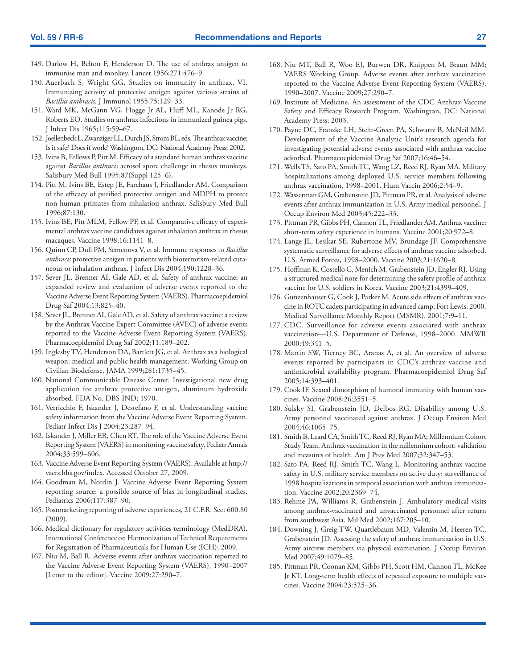- 149. Darlow H, Belton F, Henderson D. The use of anthrax antigen to immunise man and monkey. Lancet 1956;271:476–9.
- 150. Auerbach S, Wright GG. Studies on immunity in anthrax. VI. Immunizing activity of protective antigen against various strains of *Bacillus anthracis*. J Immunol 1955;75:129–33.
- 151. Ward MK, McGann VG, Hogge Jr AL, Huff ML, Kanode Jr RG, Roberts EO. Studies on anthrax infections in immunized guinea pigs. J Infect Dis 1965;115:59–67.
- 152. Joellenbeck L, Zwanziger LL, Durch JS, Strom BL, eds. The anthrax vaccine: Is it safe? Does it work? Washington, DC: National Academy Press; 2002.
- 153. Ivins B, Fellows P, Pitt M. Efficacy of a standard human anthrax vaccine against *Bacillus anthracis* aerosol spore challenge in rhesus monkeys. Salisbury Med Bull 1995;87(Suppl 125–6).
- 154. Pitt M, Ivins BE, Estep JE, Farchaus J, Friedlander AM. Comparison of the efficacy of purified protective antigen and MDPH to protect non-human primates from inhalation anthrax. Salisbury Med Bull 1996;87:130.
- 155. Ivins BE, Pitt MLM, Fellow PF, et al. Comparative efficacy of experimental anthrax vaccine candidates against inhalation anthrax in rhesus macaques. Vaccine 1998;16:1141–8.
- 156. Quinn CP, Dull PM, Semenova V, et al. Immune responses to *Bacillus anthracis* protective antigen in patients with bioterrorism-related cutaneous or inhalation anthrax. J Infect Dis 2004;190:1228–36.
- 157. Sever JL, Brenner AI, Gale AD, et al. Safety of anthrax vaccine: an expanded review and evaluation of adverse events reported to the Vaccine Adverse Event Reporting System (VAERS). Pharmacoepidemiol Drug Saf 2004;13:825–40.
- 158. Sever JL, Brenner AI, Gale AD, et al. Safety of anthrax vaccine: a review by the Anthrax Vaccine Expert Committee (AVEC) of adverse events reported to the Vaccine Adverse Event Reporting System (VAERS). Pharmacoepidemiol Drug Saf 2002;11:189–202.
- 159. Inglesby TV, Henderson DA, Bartlett JG, et al. Anthrax as a biological weapon: medical and public health management. Working Group on Civilian Biodefense. JAMA 1999;281:1735–45.
- 160. National Communicable Disease Center. Investigational new drug application for anthrax protective antigen, aluminum hydroxide absorbed. FDA No. DBS-IND; 1970.
- 161. Verricchio F, Iskander J, Destefano F, et al. Understanding vaccine safety information from the Vaccine Adverse Event Reporting System. Pediatr Infect Dis J 2004;23:287–94.
- 162. Iskander J, Miller ER, Chen RT. The role of the Vaccine Adverse Event Reporting System (VAERS) in monitoring vaccine safety. Pediatr Annals 2004;33:599–606.
- 163. Vaccine Adverse Event Reporting System (VAERS). Available at [http://](http://vaers.hhs.gov/index) [vaers.hhs.gov/index.](http://vaers.hhs.gov/index) Accessed October 27, 2009.
- 164. Goodman M, Nordin J. Vaccine Adverse Event Reporting System reporting source: a possible source of bias in longitudinal studies. Pediatrics 2006;117:387–90.
- 165. Postmarketing reporting of adverse experiences, 21 C.F.R. Sect 600.80 (2009).
- 166. Medical dictionary for regulatory activities terminology (MedDRA). International Conference on Harmonization of Technical Requirements for Registration of Pharmaceuticals for Human Use (ICH); 2009.
- 167. Niu M, Ball R. Adverse events after anthrax vaccination reported to the Vaccine Adverse Event Reporting System (VAERS), 1990–2007 [Letter to the editor]. Vaccine 2009:27:290–7.
- 168. Niu MT, Ball R, Woo EJ, Burwen DR, Knippen M, Braun MM; VAERS Working Group. Adverse events after anthrax vaccination reported to the Vaccine Adverse Event Reporting System (VAERS), 1990–2007. Vaccine 2009;27:290–7.
- 169. Institute of Medicine. An assessment of the CDC Anthrax Vaccine Safety and Efficacy Research Program. Washington, DC: National Academy Press; 2003.
- 170. Payne DC, Franzke LH, Stehr-Green PA, Schwartz B, McNeil MM. Development of the Vaccine Analytic Unit's research agenda for investigating potential adverse events associated with anthrax vaccine adsorbed. Pharmacoepidemiol Drug Saf 2007;16:46–54.
- 171. Wells TS, Sato PA, Smith TC, Wang LZ, Reed RJ, Ryan MA. Military hospitalizations among deployed U.S. service members following anthrax vaccination, 1998–2001. Hum Vaccin 2006;2:54–9.
- 172. Wasserman GM, Grabenstein JD, Pittman PR, et al. Analysis of adverse events after anthrax immunization in U.S. Army medical personnel. J Occup Environ Med 2003;45:222–33.
- 173. Pittman PR, Gibbs PH, Cannon TL, Friedlander AM. Anthrax vaccine: short-term safety experience in humans. Vaccine 2001;20:972–8.
- 174. Lange JL, Lesikar SE, Rubertone MV, Brundage JF. Comprehensive systematic surveillance for adverse effects of anthrax vaccine adsorbed, U.S. Armed Forces, 1998–2000. Vaccine 2003;21:1620–8.
- 175. Hoffman K, Costello C, Menich M, Grabenstein JD, Engler RJ. Using a structured medical note for determining the safety profile of anthrax vaccine for U.S. soldiers in Korea. Vaccine 2003;21:4399–409.
- 176. Gunzenhauser G, Cook J, Parker M. Acute side effects of anthrax vaccine in ROTC cadets participating in advanced camp, Fort Lewis, 2000. Medical Surveillance Monthly Report (MSMR). 2001;7:9–11.
- 177. CDC. Surveillance for adverse events associated with anthrax vaccination—U.S. Department of Defense, 1998–2000. MMWR 2000;49:341–5.
- 178. Martin SW, Tierney BC, Aranas A, et al. An overview of adverse events reported by participants in CDC's anthrax vaccine and antimicrobial availability program. Pharmacoepidemiol Drug Saf 2005;14:393–401.
- 179. Cook IF. Sexual dimorphism of humoral immunity with human vaccines. Vaccine 2008;26:3551–5.
- 180. Sulsky SI, Grabenstein JD, Delbos RG. Disability among U.S. Army personnel vaccinated against anthrax. J Occup Environ Med 2004;46:1065–75.
- 181. Smith B, Leard CA, Smith TC, Reed RJ, Ryan MA; Millennium Cohort Study Team. Anthrax vaccination in the millennium cohort: validation and measures of health. Am J Prev Med 2007;32:347–53.
- 182. Sato PA, Reed RJ, Smith TC, Wang L. Monitoring anthrax vaccine safety in U.S. military service members on active duty: surveillance of 1998 hospitalizations in temporal association with anthrax immunization. Vaccine 2002;20:2369–74.
- 183. Rehme PA, Williams R, Grabenstein J. Ambulatory medical visits among anthrax-vaccinated and unvaccinated personnel after return from southwest Asia. Mil Med 2002;167:205–10.
- 184. Downing J, Greig TW, Quattlebaum MD, Valentin M, Heeren TC, Grabenstein JD. Assessing the safety of anthrax immunization in U.S. Army aircrew members via physical examination. J Occup Environ Med 2007;49:1079–85.
- 185. Pittman PR, Coonan KM, Gibbs PH, Scott HM, Cannon TL, McKee Jr KT. Long-term health effects of repeated exposure to multiple vaccines. Vaccine 2004;23:525–36.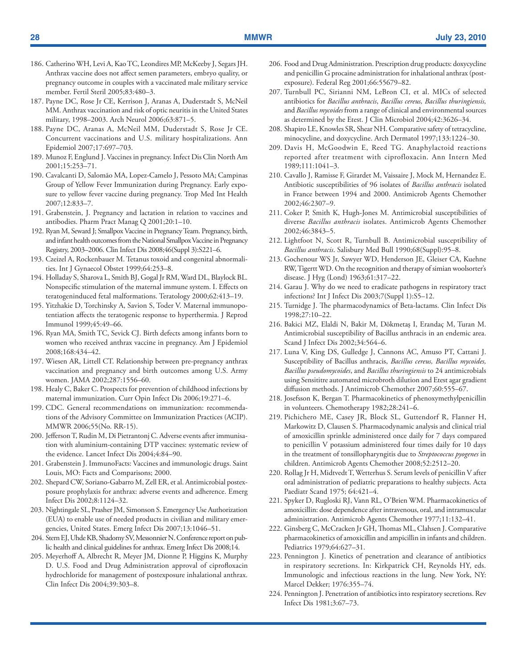- 186. Catherino WH, Levi A, Kao TC, Leondires MP, McKeeby J, Segars JH. Anthrax vaccine does not affect semen parameters, embryo quality, or pregnancy outcome in couples with a vaccinated male military service member. Fertil Steril 2005;83:480–3.
- 187. Payne DC, Rose Jr CE, Kerrison J, Aranas A, Duderstadt S, McNeil MM. Anthrax vaccination and risk of optic neuritis in the United States military, 1998–2003. Arch Neurol 2006;63:871–5.
- 188. Payne DC, Aranas A, McNeil MM, Duderstadt S, Rose Jr CE. Concurrent vaccinations and U.S. military hospitalizations. Ann Epidemiol 2007;17:697–703.
- 189. Munoz F, Englund J. Vaccines in pregnancy. Infect Dis Clin North Am 2001;15:253–71.
- 190. Cavalcanti D, Salomão MA, Lopez-Camelo J, Pessoto MA; Campinas Group of Yellow Fever Immunization during Pregnancy. Early exposure to yellow fever vaccine during pregnancy. Trop Med Int Health 2007;12:833–7.
- 191. Grabenstein, J. Pregnancy and lactation in relation to vaccines and antibodies. Pharm Pract Manag Q 2001;20:1–10.
- 192. Ryan M, Seward J; Smallpox Vaccine in Pregnancy Team. Pregnancy, birth, and infant health outcomes from the National Smallpox Vaccine in Pregnancy Registry, 2003–2006. Clin Infect Dis 2008;46(Suppl 3):S221–6.
- 193. Czeizel A, Rockenbauer M. Tetanus toxoid and congenital abnormalities. Int J Gynaecol Obstet 1999;64:253–8.
- 194. Holladay S, Sharova L, Smith BJ, Gogal Jr RM, Ward DL, Blaylock BL. Nonspecific stimulation of the maternal immune system. I. Effects on teratogeninduced fetal malformations. Teratology 2000;62:413–19.
- 195. Yitzhakie D, Torchinsky A, Savion S, Toder V. Maternal immunopotentiation affects the teratogenic response to hyperthermia. J Reprod Immunol 1999;45:49–66.
- 196. Ryan MA, Smith TC, Sevick CJ. Birth defects among infants born to women who received anthrax vaccine in pregnancy. Am J Epidemiol 2008;168:434–42.
- 197. Wiesen AR, Littell CT. Relationship between pre-pregnancy anthrax vaccination and pregnancy and birth outcomes among U.S. Army women. JAMA 2002;287:1556–60.
- 198. Healy C, Baker C. Prospects for prevention of childhood infections by maternal immunization. Curr Opin Infect Dis 2006;19:271–6.
- 199. CDC. General recommendations on immunization: recommendations of the Advisory Committee on Immunization Practices (ACIP). MMWR 2006;55(No. RR-15).
- 200. Jefferson T, Rudin M, Di Pietrantonj C. Adverse events after immunisation with aluminium-containing DTP vaccines: systematic review of the evidence. Lancet Infect Dis 2004;4:84–90.
- 201. Grabenstein J. ImmunoFacts: Vaccines and immunologic drugs. Saint Louis, MO: Facts and Comparisons; 2000.
- 202. Shepard CW, Soriano-Gabarro M, Zell ER, et al. Antimicrobial postexposure prophylaxis for anthrax: adverse events and adherence. Emerg Infect Dis 2002;8:1124–32.
- 203. Nightingale SL, Prasher JM, Simonson S. Emergency Use Authorization (EUA) to enable use of needed products in civilian and military emergencies, United States. Emerg Infect Dis 2007;13:1046–51.
- 204. Stern EJ, Uhde KB, Shadomy SV, Messonnier N. Conference report on public health and clinical guidelines for anthrax. Emerg Infect Dis 2008;14.
- 205. Meyerhoff A, Albrecht R, Meyer JM, Dionne P, Higgins K, Murphy D. U.S. Food and Drug Administration approval of ciprofloxacin hydrochloride for management of postexposure inhalational anthrax. Clin Infect Dis 2004;39:303–8.
- 206. Food and Drug Administration. Prescription drug products: doxycycline and penicillin G procaine administration for inhalational anthrax (postexposure). Federal Reg 2001;66:55679–82.
- 207. Turnbull PC, Sirianni NM, LeBron CI, et al. MICs of selected antibiotics for *Bacillus anthracis*, *Bacillus cereus, Bacillus thuringiensis,* and *Bacillus mycoides* from a range of clinical and environmental sources as determined by the Etest. J Clin Microbiol 2004;42:3626–34.
- 208. Shapiro LE, Knowles SR, Shear NH. Comparative safety of tetracycline, minocycline, and doxycycline. Arch Dermatol 1997;133:1224–30.
- 209. Davis H, McGoodwin E, Reed TG. Anaphylactoid reactions reported after treatment with ciprofloxacin. Ann Intern Med 1989;111:1041–3.
- 210. Cavallo J, Ramisse F, Girardet M, Vaissaire J, Mock M, Hernandez E. Antibiotic susceptibilities of 96 isolates of *Bacillus anthracis* isolated in France between 1994 and 2000. Antimicrob Agents Chemother 2002;46:2307–9.
- 211. Coker P, Smith K, Hugh-Jones M. Antimicrobial susceptibilities of diverse *Bacillus anthracis* isolates. Antimicrob Agents Chemother 2002;46:3843–5.
- 212. Lightfoot N, Scott R, Turnbull B. Antimicrobial susceptibility of *Bacillus anthracis*. Salisbury Med Bull 1990;68(Suppl):95–8.
- 213. Gochenour WS Jr, Sawyer WD, Henderson JE, Gleiser CA, Kuehne RW, Tigertt WD. On the recognition and therapy of simian woolsorter's disease. J Hyg (Lond) 1963;61:317–22.
- 214. Garau J. Why do we need to eradicate pathogens in respiratory tract infections? Int J Infect Dis 2003;7(Suppl 1):S5–12.
- 215. Turnidge J. The pharmacodynamics of Beta-lactams. Clin Infect Dis 1998;27:10–22.
- 216. Bakici MZ, Elaldi N, Bakir M, Dökmetaş I, Erandaç M, Turan M. Antimicrobial susceptibility of Bacillus anthracis in an endemic area. Scand J Infect Dis 2002;34:564–6.
- 217. Luna V, King DS, Gulledge J, Cannons AC, Amuso PT, Cattani J. Susceptibility of Bacillus anthracis, *Bacillus cereus, Bacillus mycoides, Bacillus pseudomycoides*, and *Bacillus thuringiensis* to 24 antimicrobials using Sensititre automated microbroth dilution and Etest agar gradient diffusion methods. J Antimicrob Chemother 2007;60:555–67.
- 218. Josefsson K, Bergan T. Pharmacokinetics of phenoxymethylpenicillin in volunteers. Chemotherapy 1982;28:241–6.
- 219. Pichichero ME, Casey JR, Block SL, Guttendorf R, Flanner H, Markowitz D, Clausen S. Pharmacodynamic analysis and clinical trial of amoxicillin sprinkle administered once daily for 7 days compared to penicillin V potassium administered four times daily for 10 days in the treatment of tonsillopharyngitis due to *Streptococcus pyogenes* in children. Antimicrob Agents Chemother 2008;52:2512–20.
- 220. Rollag Jr H, Midtvedt T, Wetterhus S. Serum levels of penicillin V after oral administration of pediatric preparations to healthy subjects. Acta Paediatr Scand 1975; 64:421–4.
- 221. Spyker D, Rugloski RJ, Vann RL, O'Brien WM. Pharmacokinetics of amoxicillin: dose dependence after intravenous, oral, and intramuscular administration. Antimicrob Agents Chemother 1977;11:132–41.
- 222. Ginsberg C, McCracken Jr GH, Thomas ML, Clahsen J. Comparative pharmacokinetics of amoxicillin and ampicillin in infants and children. Pediatrics 1979;64:627–31.
- 223. Pennington J. Kinetics of penetration and clearance of antibiotics in respiratory secretions. In: Kirkpatrick CH, Reynolds HY, eds. Immunologic and infectious reactions in the lung. New York, NY: Marcel Dekker; 1976:355–74.
- 224. Pennington J. Penetration of antibiotics into respiratory secretions. Rev Infect Dis 1981;3:67–73.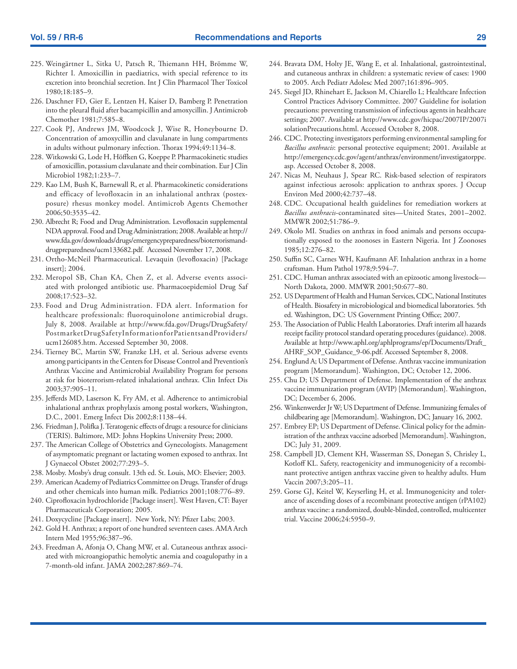- 225. Weingärtner L, Sitka U, Patsch R, Thiemann HH, Brömme W, Richter I. Amoxicillin in paediatrics, with special reference to its excretion into bronchial secretion. Int J Clin Pharmacol Ther Toxicol 1980;18:185–9.
- 226. Daschner FD, Gier E, Lentzen H, Kaiser D, Bamberg P. Penetration into the pleural fluid after bacampicillin and amoxycillin. J Antimicrob Chemother 1981;7:585–8.
- 227. Cook PJ, Andrews JM, Woodcock J, Wise R, Honeybourne D. Concentration of amoxycillin and clavulanate in lung compartments in adults without pulmonary infection. Thorax 1994;49:1134–8.
- 228. Witkowski G, Lode H, Höffken G, Koeppe P. Pharmacokinetic studies of amoxicillin, potassium clavulanate and their combination. Eur J Clin Microbiol 1982;1:233–7.
- 229. Kao LM, Bush K, Barnewall R, et al. Pharmacokinetic considerations and efficacy of levofloxacin in an inhalational anthrax (postexposure) rhesus monkey model. Antimicrob Agents Chemother 2006;50:3535–42.
- 230. Albrecht R; Food and Drug Administration. Levofloxacin supplemental NDA approval. Food and Drug Administration; 2008. Available at [http://](http://www.fda.gov/downloads/drugs/emergencypreparedness/bioterrorismanddrugpreparedness/ucm133682.pdf) [www.fda.gov/downloads/drugs/emergencypreparedness/bioterrorismand](http://www.fda.gov/downloads/drugs/emergencypreparedness/bioterrorismanddrugpreparedness/ucm133682.pdf)[drugpreparedness/ucm133682.pdf](http://www.fda.gov/downloads/drugs/emergencypreparedness/bioterrorismanddrugpreparedness/ucm133682.pdf). Accessed November 17, 2008.
- 231. Ortho-McNeil Pharmaceutical. Levaquin (levofloxacin) [Package insert]; 2004.
- 232. Meropol SB, Chan KA, Chen Z, et al. Adverse events associated with prolonged antibiotic use. Pharmacoepidemiol Drug Saf 2008;17:523–32.
- 233. Food and Drug Administration. FDA alert. Information for healthcare professionals: fluoroquinolone antimicrobial drugs. July 8, 2008. Available at [http://www.fda.gov/Drugs/DrugSafety/](http://www.fda.gov/Drugs/DrugSafety/PostmarketDrugSafetyInformationforPatientsandProviders/ucm126085.htm) [PostmarketDrugSafetyInformationforPatientsandProviders/](http://www.fda.gov/Drugs/DrugSafety/PostmarketDrugSafetyInformationforPatientsandProviders/ucm126085.htm) [ucm126085.htm](http://www.fda.gov/Drugs/DrugSafety/PostmarketDrugSafetyInformationforPatientsandProviders/ucm126085.htm). Accessed September 30, 2008.
- 234. Tierney BC, Martin SW, Franzke LH, et al. Serious adverse events among participants in the Centers for Disease Control and Prevention's Anthrax Vaccine and Antimicrobial Availability Program for persons at risk for bioterrorism-related inhalational anthrax. Clin Infect Dis 2003;37:905–11.
- 235. Jefferds MD, Laserson K, Fry AM, et al. Adherence to antimicrobial inhalational anthrax prophylaxis among postal workers, Washington, D.C., 2001. Emerg Infect Dis 2002;8:1138–44.
- 236. Friedman J, Polifka J. Teratogenic effects of drugs: a resource for clinicians (TERIS). Baltimore, MD: Johns Hopkins University Press; 2000.
- 237. The American College of Obstetrics and Gynecologists. Management of asymptomatic pregnant or lactating women exposed to anthrax. Int J Gynaecol Obstet 2002;77:293–5.
- 238. Mosby. Mosby's drug consult. 13th ed. St. Louis, MO: Elsevier; 2003.
- 239. American Academy of Pediatrics Committee on Drugs. Transfer of drugs and other chemicals into human milk. Pediatrics 2001;108:776–89.
- 240. Ciprofloxacin hydrochloride [Package insert]. West Haven, CT: Bayer Pharmaceuticals Corporation; 2005.
- 241. Doxycycline [Package insert]. New York, NY: Pfizer Labs; 2003.
- 242. Gold H. Anthrax; a report of one hundred seventeen cases. AMA Arch Intern Med 1955;96:387–96.
- 243. Freedman A, Afonja O, Chang MW, et al. Cutaneous anthrax associated with microangiopathic hemolytic anemia and coagulopathy in a 7-month-old infant. JAMA 2002;287:869–74.
- 244. Bravata DM, Holty JE, Wang E, et al. Inhalational, gastrointestinal, and cutaneous anthrax in children: a systematic review of cases: 1900 to 2005. Arch Pediatr Adolesc Med 2007;161:896–905.
- 245. Siegel JD, Rhinehart E, Jackson M, Chiarello L; Healthcare Infection Control Practices Advisory Committee. 2007 Guideline for isolation precautions: preventing transmission of infectious agents in healthcare settings; 2007. Available at [http://www.cdc.gov/hicpac/2007IP/2007i](http://www.cdc.gov/hicpac/2007IP/2007isolationPrecautions.html) [solationPrecautions.html.](http://www.cdc.gov/hicpac/2007IP/2007isolationPrecautions.html) Accessed October 8, 2008.
- 246. CDC. Protecting investigators performing environmental sampling for *Bacillus anthracis*: personal protective equipment; 2001. Available at [http://emergency.cdc.gov/agent/anthrax/environment/investigatorppe.](http://emergency.cdc.gov/agent/anthrax/environment/investigatorppe.asp) [asp.](http://emergency.cdc.gov/agent/anthrax/environment/investigatorppe.asp) Accessed October 8, 2008.
- 247. Nicas M, Neuhaus J, Spear RC. Risk-based selection of respirators against infectious aerosols: application to anthrax spores. J Occup Environ Med 2000;42:737–48.
- 248. CDC. Occupational health guidelines for remediation workers at *Bacillus anthracis*-contaminated sites—United States, 2001–2002. MMWR 2002;51:786–9.
- 249. Okolo MI. Studies on anthrax in food animals and persons occupationally exposed to the zoonoses in Eastern Nigeria. Int J Zoonoses 1985;12:276–82.
- 250. Suffin SC, Carnes WH, Kaufmann AF. Inhalation anthrax in a home craftsman. Hum Pathol 1978;9:594–7.
- 251. CDC. Human anthrax associated with an epizootic among livestock— North Dakota, 2000. MMWR 2001;50:677–80.
- 252. US Department of Health and Human Services, CDC, National Institutes of Health. Biosafety in microbiological and biomedical laboratories. 5th ed. Washington, DC: US Government Printing Office; 2007.
- 253. The Association of Public Health Laboratories. Draft interim all hazards receipt facility protocol standard operating procedures (guidance). 2008. Available at [http://www.aphl.org/aphlprograms/ep/Documents/Draft\\_](http://www.aphl.org/aphlprograms/ep/Documents/Draft_AHRF_SOP_Guidance_9-06.pdf) [AHRF\\_SOP\\_Guidance\\_9-06.pdf.](http://www.aphl.org/aphlprograms/ep/Documents/Draft_AHRF_SOP_Guidance_9-06.pdf) Accessed September 8, 2008.
- 254. Englund A; US Department of Defense. Anthrax vaccine immunization program [Memorandum]. Washington, DC; October 12, 2006.
- 255. Chu D; US Department of Defense. Implementation of the anthrax vaccine immunization program (AVIP) [Memorandum]. Washington, DC; December 6, 2006.
- 256. Winkenwerder Jr W; US Department of Defense. Immunizing females of childbearing age [Memorandum]. Washington, DC; January 16, 2002.
- 257. Embrey EP; US Department of Defense. Clinical policy for the administration of the anthrax vaccine adsorbed [Memorandum]. Washington, DC; July 31, 2009.
- 258. Campbell JD, Clement KH, Wasserman SS, Donegan S, Chrisley L, Kotloff KL. Safety, reactogenicity and immunogenicity of a recombinant protective antigen anthrax vaccine given to healthy adults. Hum Vaccin 2007;3:205–11.
- 259. Gorse GJ, Keitel W, Keyserling H, et al. Immunogenicity and tolerance of ascending doses of a recombinant protective antigen (rPA102) anthrax vaccine: a randomized, double-blinded, controlled, multicenter trial. Vaccine 2006;24:5950–9.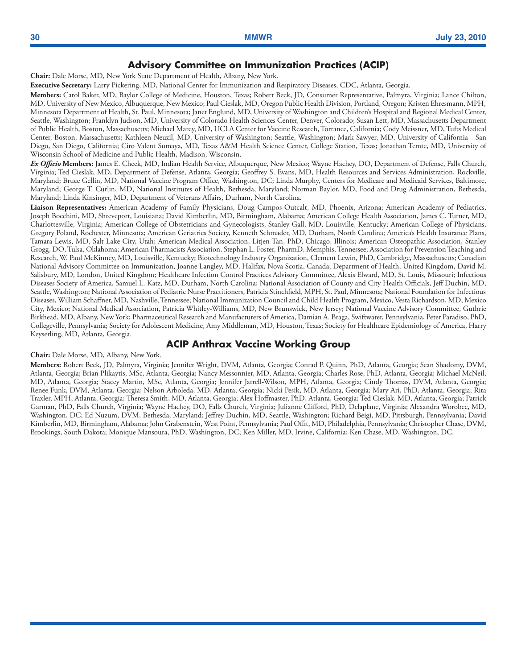#### **Advisory Committee on Immunization Practices (ACIP)**

**Chair:** Dale Morse, MD, New York State Department of Health, Albany, New York.

**Executive Secretary:** Larry Pickering, MD, National Center for Immunization and Respiratory Diseases, CDC, Atlanta, Georgia.

**Members:** Carol Baker, MD, Baylor College of Medicine, Houston, Texas; Robert Beck, JD, Consumer Representative, Palmyra, Virginia; Lance Chilton, MD, University of New Mexico, Albuquerque, New Mexico; Paul Cieslak, MD, Oregon Public Health Division, Portland, Oregon; Kristen Ehresmann, MPH, Minnesota Department of Health, St. Paul, Minnesota; Janet Englund, MD, University of Washington and Children's Hospital and Regional Medical Center, Seattle, Washington; Franklyn Judson, MD, University of Colorado Health Sciences Center, Denver, Colorado; Susan Lett, MD, Massachusetts Department of Public Health, Boston, Massachusetts; Michael Marcy, MD, UCLA Center for Vaccine Research, Torrance, California; Cody Meissner, MD, Tufts Medical Center, Boston, Massachusetts; Kathleen Neuzil, MD, University of Washington; Seattle, Washington; Mark Sawyer, MD, University of California—San Diego, San Diego, California; Ciro Valent Sumaya, MD, Texas A&M Health Science Center, College Station, Texas; Jonathan Temte, MD, University of Wisconsin School of Medicine and Public Health, Madison, Wisconsin.

*Ex Officio* **Members:** James E. Cheek, MD, Indian Health Service, Albuquerque, New Mexico; Wayne Hachey, DO, Department of Defense, Falls Church, Virginia; Ted Cieslak, MD, Department of Defense, Atlanta, Georgia; Geoffrey S. Evans, MD, Health Resources and Services Administration, Rockville, Maryland; Bruce Gellin, MD, National Vaccine Program Office, Washington, DC; Linda Murphy, Centers for Medicare and Medicaid Services, Baltimore, Maryland; George T. Curlin, MD, National Institutes of Health, Bethesda, Maryland; Norman Baylor, MD, Food and Drug Administration, Bethesda, Maryland; Linda Kinsinger, MD, Department of Veterans Affairs, Durham, North Carolina.

**Liaison Representatives:** American Academy of Family Physicians, Doug Campos-Outcalt, MD, Phoenix, Arizona; American Academy of Pediatrics, Joseph Bocchini, MD, Shreveport, Louisiana; David Kimberlin, MD, Birmingham, Alabama; American College Health Association, James C. Turner, MD, Charlottesville, Virginia; American College of Obstetricians and Gynecologists, Stanley Gall, MD, Louisville, Kentucky; American College of Physicians, Gregory Poland, Rochester, Minnesota; American Geriatrics Society, Kenneth Schmader, MD, Durham, North Carolina; America's Health Insurance Plans, Tamara Lewis, MD, Salt Lake City, Utah; American Medical Association, Litjen Tan, PhD, Chicago, Illinois; American Osteopathic Association, Stanley Grogg, DO, Tulsa, Oklahoma; American Pharmacists Association, Stephan L. Foster, PharmD, Memphis, Tennessee; Association for Prevention Teaching and Research, W. Paul McKinney, MD, Louisville, Kentucky; Biotechnology Industry Organization, Clement Lewin, PhD, Cambridge, Massachusetts; Canadian National Advisory Committee on Immunization, Joanne Langley, MD, Halifax, Nova Scotia, Canada; Department of Health, United Kingdom, David M. Salisbury, MD, London, United Kingdom; Healthcare Infection Control Practices Advisory Committee, Alexis Elward, MD, St. Louis, Missouri; Infectious Diseases Society of America, Samuel L. Katz, MD, Durham, North Carolina; National Association of County and City Health Officials, Jeff Duchin, MD, Seattle, Washington; National Association of Pediatric Nurse Practitioners, Patricia Stinchfield, MPH, St. Paul, Minnesota; National Foundation for Infectious Diseases, William Schaffner, MD, Nashville, Tennessee; National Immunization Council and Child Health Program, Mexico, Vesta Richardson, MD, Mexico City, Mexico; National Medical Association, Patricia Whitley-Williams, MD, New Brunswick, New Jersey; National Vaccine Advisory Committee, Guthrie Birkhead, MD, Albany, New York; Pharmaceutical Research and Manufacturers of America, Damian A. Braga, Swiftwater, Pennsylvania, Peter Paradiso, PhD, Collegeville, Pennsylvania; Society for Adolescent Medicine, Amy Middleman, MD, Houston, Texas; Society for Healthcare Epidemiology of America, Harry Keyserling, MD, Atlanta, Georgia.

### **ACIP Anthrax Vaccine Working Group**

**Chair:** Dale Morse, MD, Albany, New York.

**Members:** Robert Beck, JD, Palmyra, Virginia; Jennifer Wright, DVM, Atlanta, Georgia; Conrad P. Quinn, PhD, Atlanta, Georgia; Sean Shadomy, DVM, Atlanta, Georgia; Brian Plikaytis, MSc, Atlanta, Georgia; Nancy Messonnier, MD, Atlanta, Georgia; Charles Rose, PhD, Atlanta, Georgia; Michael McNeil, MD, Atlanta, Georgia; Stacey Martin, MSc, Atlanta, Georgia; Jennifer Jarrell-Wilson, MPH, Atlanta, Georgia; Cindy Thomas, DVM, Atlanta, Georgia; Renee Funk, DVM, Atlanta, Georgia; Nelson Arboleda, MD, Atlanta, Georgia; Nicki Pesik, MD, Atlanta, Georgia; Mary Ari, PhD, Atlanta, Georgia; Rita Traxler, MPH, Atlanta, Georgia; Theresa Smith, MD, Atlanta, Georgia; Alex Hoffmaster, PhD, Atlanta, Georgia; Ted Cieslak, MD, Atlanta, Georgia; Patrick Garman, PhD, Falls Church, Virginia; Wayne Hachey, DO, Falls Church, Virginia; Julianne Clifford, PhD, Delaplane, Virginia; Alexandra Worobec, MD, Washington, DC; Ed Nuzum, DVM, Bethesda, Maryland; Jeffrey Duchin, MD, Seattle, Washington; Richard Beigi, MD, Pittsburgh, Pennsylvania; David Kimberlin, MD, Birmingham, Alabama; John Grabenstein, West Point, Pennsylvania; Paul Offit, MD, Philadelphia, Pennsylvania; Christopher Chase, DVM, Brookings, South Dakota; Monique Mansoura, PhD, Washington, DC; Ken Miller, MD, Irvine, California; Ken Chase, MD, Washington, DC.